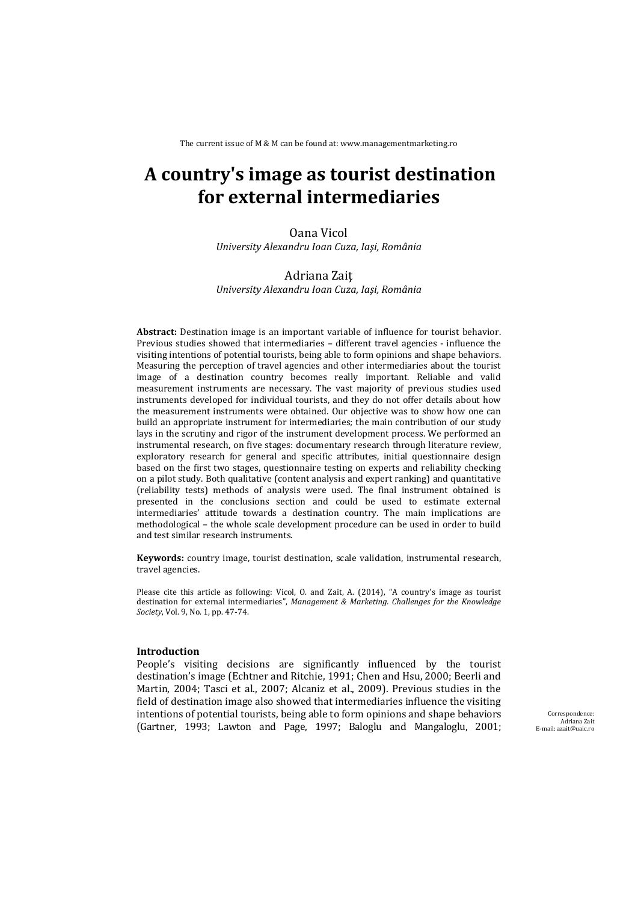The current issue of M & M can be found at: www.managementmarketing.ro

# **A country's image as tourist destination for external intermediaries**

Oana Vicol *University Alexandru Ioan Cuza, Iaşi, România*

### Adriana Zaiţ *University Alexandru Ioan Cuza, Iaşi, România*

**Abstract:** Destination image is an important variable of influence for tourist behavior. Previous studies showed that intermediaries – different travel agencies - influence the visiting intentions of potential tourists, being able to form opinions and shape behaviors. Measuring the perception of travel agencies and other intermediaries about the tourist image of a destination country becomes really important. Reliable and valid measurement instruments are necessary. The vast majority of previous studies used instruments developed for individual tourists, and they do not offer details about how the measurement instruments were obtained. Our objective was to show how one can build an appropriate instrument for intermediaries; the main contribution of our study lays in the scrutiny and rigor of the instrument development process. We performed an instrumental research, on five stages: documentary research through literature review, exploratory research for general and specific attributes, initial questionnaire design based on the first two stages, questionnaire testing on experts and reliability checking on a pilot study. Both qualitative (content analysis and expert ranking) and quantitative (reliability tests) methods of analysis were used. The final instrument obtained is presented in the conclusions section and could be used to estimate external intermediaries' attitude towards a destination country. The main implications are methodological - the whole scale development procedure can be used in order to build and test similar research instruments.

**Keywords:** country image, tourist destination, scale validation, instrumental research, travel agencies.

Please cite this article as following: Vicol, O. and Zait, A. (2014), "A country's image as tourist destination for external intermediaries", *Management & Marketing. Challenges for the Knowledge Society*, *Vol.* 9, *No.* 1, pp. 47-74.

### **Introduction**

People's visiting decisions are significantly influenced by the tourist destination's image (Echtner and Ritchie, 1991; Chen and Hsu, 2000; Beerli and Martin, 2004; Tasci et al., 2007; Alcaniz et al., 2009). Previous studies in the field of destination image also showed that intermediaries influence the visiting intentions of potential tourists, being able to form opinions and shape behaviors (Gartner, 1993; Lawton and Page, 1997; Baloglu and Mangaloglu, 2001;

Correspondence: Adriana Zait E-mail: azait@uaic.ro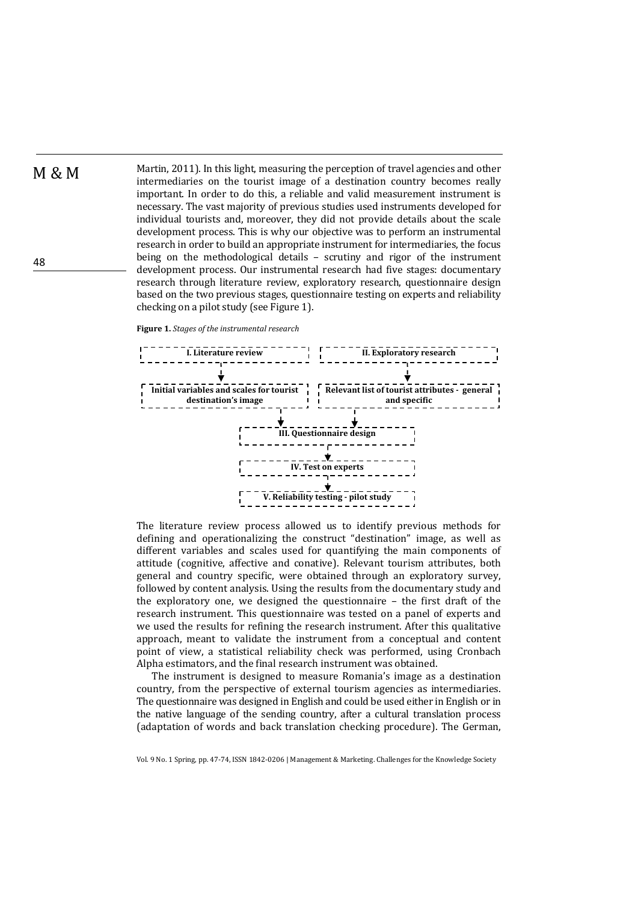M & M Martin, 2011). In this light, measuring the perception of travel agencies and other intermediaries on the tourist image of a destination country becomes really important. In order to do this, a reliable and valid measurement instrument is necessary. The vast majority of previous studies used instruments developed for individual tourists and, moreover, they did not provide details about the scale development process. This is why our objective was to perform an instrumental research in order to build an appropriate instrument for intermediaries, the focus being on the methodological details  $-$  scrutiny and rigor of the instrument development process. Our instrumental research had five stages: documentary research through literature review, exploratory research, questionnaire design based on the two previous stages, questionnaire testing on experts and reliability checking on a pilot study (see Figure 1).

**Figure 1.** *Stages of the instrumental research*



The literature review process allowed us to identify previous methods for defining and operationalizing the construct "destination" image, as well as different variables and scales used for quantifying the main components of attitude (cognitive, affective and conative). Relevant tourism attributes, both general and country specific, were obtained through an exploratory survey, followed by content analysis. Using the results from the documentary study and the exploratory one, we designed the questionnaire  $-$  the first draft of the research instrument. This questionnaire was tested on a panel of experts and we used the results for refining the research instrument. After this qualitative approach, meant to validate the instrument from a conceptual and content point of view, a statistical reliability check was performed, using Cronbach Alpha estimators, and the final research instrument was obtained.

The instrument is designed to measure Romania's image as a destination country, from the perspective of external tourism agencies as intermediaries. The questionnaire was designed in English and could be used either in English or in the native language of the sending country, after a cultural translation process (adaptation of words and back translation checking procedure). The German,

Vol. 9 No. 1 Spring, pp. 47-74, ISSN 1842-0206 | Management & Marketing. Challenges for the Knowledge Society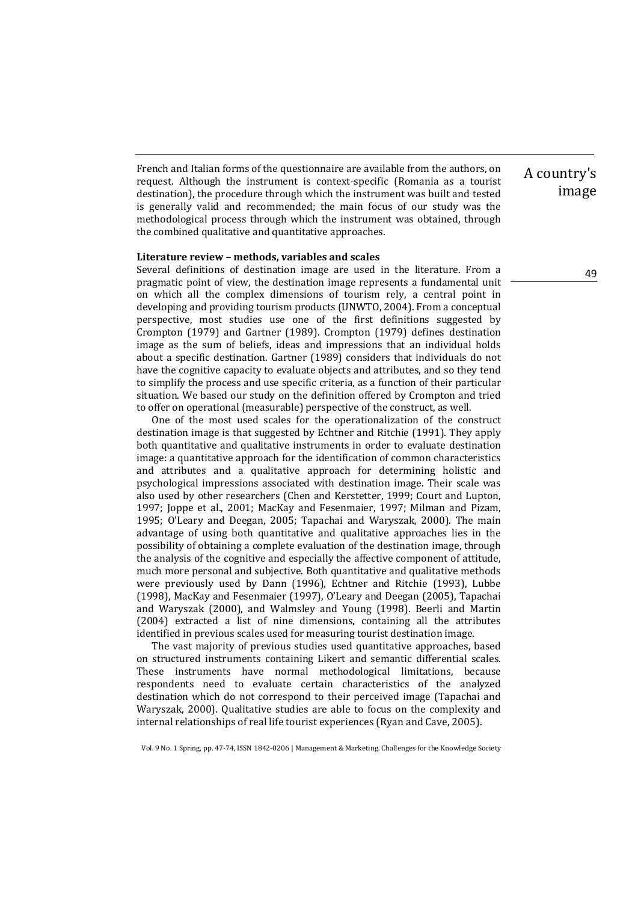French and Italian forms of the questionnaire are available from the authors, on request. Although the instrument is context-specific (Romania as a tourist destination), the procedure through which the instrument was built and tested is generally valid and recommended; the main focus of our study was the methodological process through which the instrument was obtained, through the combined qualitative and quantitative approaches.

### **Literature review – methods, variables and scales**

Several definitions of destination image are used in the literature. From a pragmatic point of view, the destination image represents a fundamental unit on which all the complex dimensions of tourism rely, a central point in developing and providing tourism products (UNWTO, 2004). From a conceptual perspective, most studies use one of the first definitions suggested by Crompton (1979) and Gartner (1989). Crompton (1979) defines destination image as the sum of beliefs, ideas and impressions that an individual holds about a specific destination. Gartner (1989) considers that individuals do not have the cognitive capacity to evaluate objects and attributes, and so they tend to simplify the process and use specific criteria, as a function of their particular situation. We based our study on the definition offered by Crompton and tried to offer on operational (measurable) perspective of the construct, as well.

One of the most used scales for the operationalization of the construct destination image is that suggested by Echtner and Ritchie (1991). They apply both quantitative and qualitative instruments in order to evaluate destination image: a quantitative approach for the identification of common characteristics and attributes and a qualitative approach for determining holistic and psychological impressions associated with destination image. Their scale was also used by other researchers (Chen and Kerstetter, 1999; Court and Lupton, 1997; Joppe et al., 2001; MacKay and Fesenmaier, 1997; Milman and Pizam, 1995; O'Leary and Deegan, 2005; Tapachai and Waryszak, 2000). The main advantage of using both quantitative and qualitative approaches lies in the possibility of obtaining a complete evaluation of the destination image, through the analysis of the cognitive and especially the affective component of attitude, much more personal and subjective. Both quantitative and qualitative methods were previously used by Dann (1996), Echtner and Ritchie (1993), Lubbe (1998), MacKay and Fesenmaier (1997), O'Leary and Deegan (2005), Tapachai and Waryszak (2000), and Walmsley and Young (1998). Beerli and Martin (2004) extracted a list of nine dimensions, containing all the attributes identified in previous scales used for measuring tourist destination image.

The vast majority of previous studies used quantitative approaches, based on structured instruments containing Likert and semantic differential scales. These instruments have normal methodological limitations, because respondents need to evaluate certain characteristics of the analyzed destination which do not correspond to their perceived image (Tapachai and Waryszak, 2000). Qualitative studies are able to focus on the complexity and internal relationships of real life tourist experiences (Ryan and Cave, 2005).

Vol. 9 No. 1 Spring, pp. 47-74, ISSN 1842-0206 | Management & Marketing. Challenges for the Knowledge Society

# A country's image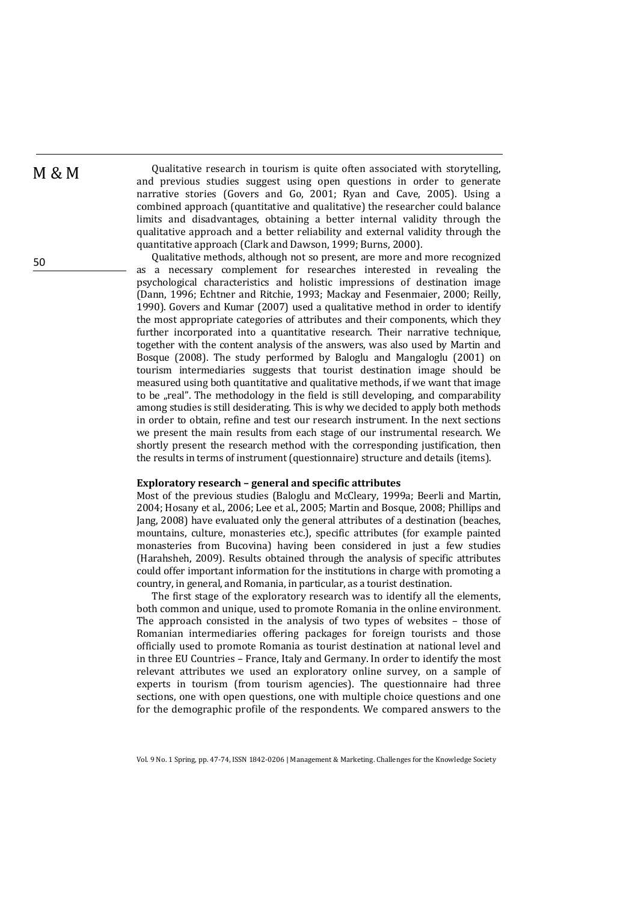$M \& M$  Qualitative research in tourism is quite often associated with storytelling, and previous studies suggest using open questions in order to generate narrative stories (Govers and Go, 2001; Ryan and Cave, 2005). Using a combined approach (quantitative and qualitative) the researcher could balance limits and disadvantages, obtaining a better internal validity through the qualitative approach and a better reliability and external validity through the quantitative approach (Clark and Dawson, 1999; Burns, 2000).

Qualitative methods, although not so present, are more and more recognized as a necessary complement for researches interested in revealing the psychological characteristics and holistic impressions of destination image (Dann, 1996; Echtner and Ritchie, 1993; Mackay and Fesenmaier, 2000; Reilly, 1990). Govers and Kumar (2007) used a qualitative method in order to identify the most appropriate categories of attributes and their components, which they further incorporated into a quantitative research. Their narrative technique, together with the content analysis of the answers, was also used by Martin and Bosque (2008). The study performed by Baloglu and Mangaloglu (2001) on tourism intermediaries suggests that tourist destination image should be measured using both quantitative and qualitative methods, if we want that image to be "real". The methodology in the field is still developing, and comparability among studies is still desiderating. This is why we decided to apply both methods in order to obtain, refine and test our research instrument. In the next sections we present the main results from each stage of our instrumental research. We shortly present the research method with the corresponding justification, then the results in terms of instrument (questionnaire) structure and details (items).

#### **Exploratory research – general and specific attributes**

Most of the previous studies (Baloglu and McCleary, 1999a; Beerli and Martin, 2004; Hosany et al., 2006; Lee et al., 2005; Martin and Bosque, 2008; Phillips and Jang, 2008) have evaluated only the general attributes of a destination (beaches, mountains, culture, monasteries etc.), specific attributes (for example painted monasteries from Bucovina) having been considered in just a few studies (Harahsheh, 2009). Results obtained through the analysis of specific attributes could offer important information for the institutions in charge with promoting a country, in general, and Romania, in particular, as a tourist destination.

The first stage of the exploratory research was to identify all the elements, both common and unique, used to promote Romania in the online environment. The approach consisted in the analysis of two types of websites  $-$  those of Romanian intermediaries offering packages for foreign tourists and those officially used to promote Romania as tourist destination at national level and in three EU Countries – France, Italy and Germany. In order to identify the most relevant attributes we used an exploratory online survey, on a sample of experts in tourism (from tourism agencies). The questionnaire had three sections, one with open questions, one with multiple choice questions and one for the demographic profile of the respondents. We compared answers to the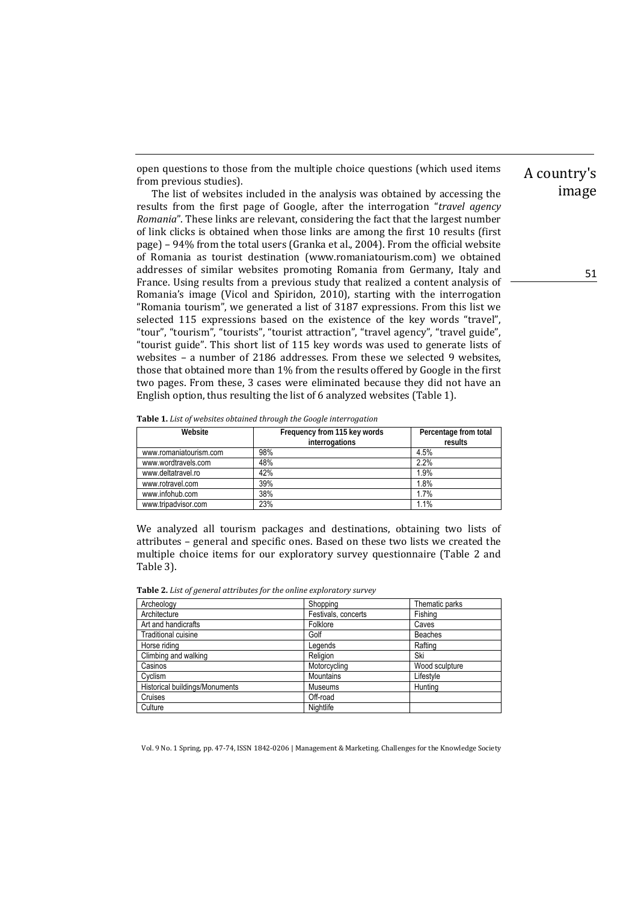open questions to those from the multiple choice questions (which used items from previous studies).

The list of websites included in the analysis was obtained by accessing the results from the first page of Google, after the interrogation "*travel agency Romania*". These links are relevant, considering the fact that the largest number of link clicks is obtained when those links are among the first 10 results (first page) - 94% from the total users (Granka et al., 2004). From the official website of Romania as tourist destination (www.romaniatourism.com) we obtained addresses of similar websites promoting Romania from Germany, Italy and France. Using results from a previous study that realized a content analysis of Romania's image (Vicol and Spiridon, 2010), starting with the interrogation "Romania tourism", we generated a list of 3187 expressions. From this list we selected 115 expressions based on the existence of the key words "travel", "tour", "tourism", "tourists", "tourist attraction", "travel agency", "travel guide", "tourist guide". This short list of 115 key words was used to generate lists of websites - a number of 2186 addresses. From these we selected 9 websites, those that obtained more than 1% from the results offered by Google in the first two pages. From these, 3 cases were eliminated because they did not have an English option, thus resulting the list of 6 analyzed websites (Table 1).

**Table 1.** *List of websites obtained through the Google interrogation*

| Website                | Frequency from 115 key words<br>interrogations | Percentage from total<br>results |
|------------------------|------------------------------------------------|----------------------------------|
| www.romaniatourism.com | 98%                                            | 4.5%                             |
| www.wordtravels.com    | 48%                                            | 2.2%                             |
| www.deltatravel.ro     | 42%                                            | 1.9%                             |
| www.rotravel.com       | 39%                                            | 1.8%                             |
| www.infohub.com        | 38%                                            | 1.7%                             |
| www.tripadvisor.com    | 23%                                            | 1.1%                             |

We analyzed all tourism packages and destinations, obtaining two lists of attributes - general and specific ones. Based on these two lists we created the multiple choice items for our exploratory survey questionnaire (Table 2 and Table 3).

| Archeology                     | Shopping            | Thematic parks |
|--------------------------------|---------------------|----------------|
| Architecture                   | Festivals, concerts | Fishing        |
| Art and handicrafts            | Folklore            | Caves          |
| <b>Traditional cuisine</b>     | Golf                | <b>Beaches</b> |
| Horse riding                   | Legends             | Rafting        |
| Climbing and walking           | Religion            | Ski            |
| Casinos                        | Motorcycling        | Wood sculpture |
| Cvclism                        | <b>Mountains</b>    | Lifestvle      |
| Historical buildings/Monuments | <b>Museums</b>      | Huntina        |
| Cruises                        | Off-road            |                |
| Culture                        | Nightlife           |                |

Vol. 9 No. 1 Spring, pp. 47-74, ISSN 1842-0206 | Management & Marketing. Challenges for the Knowledge Society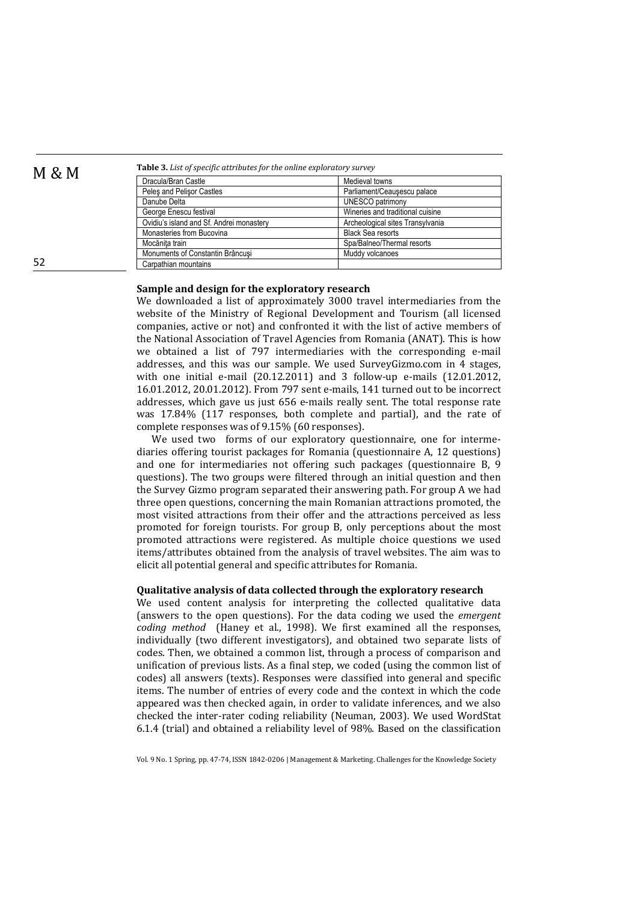M & M **Table 3.** *List of specific attributes for the online exploratory survey*

| Dracula/Bran Castle                      | Medieval towns                   |
|------------------------------------------|----------------------------------|
| Peles and Pelisor Castles                | Parliament/Ceausescu palace      |
| Danube Delta                             | <b>UNESCO patrimony</b>          |
| George Enescu festival                   | Wineries and traditional cuisine |
| Ovidiu's island and Sf. Andrei monastery | Archeological sites Transylvania |
| Monasteries from Bucovina                | <b>Black Sea resorts</b>         |
| Mocănita train                           | Spa/Balneo/Thermal resorts       |
| Monuments of Constantin Brâncusi         | Muddy volcanoes                  |
| Carpathian mountains                     |                                  |

## **Sample and design for the exploratory research**

We downloaded a list of approximately 3000 travel intermediaries from the website of the Ministry of Regional Development and Tourism (all licensed companies, active or not) and confronted it with the list of active members of the National Association of Travel Agencies from Romania (ANAT). This is how we obtained a list of 797 intermediaries with the corresponding e-mail addresses, and this was our sample. We used SurveyGizmo.com in 4 stages, with one initial e-mail (20.12.2011) and 3 follow-up e-mails (12.01.2012, 16.01.2012, 20.01.2012). From 797 sent e-mails, 141 turned out to be incorrect addresses, which gave us just 656 e-mails really sent. The total response rate was 17.84% (117 responses, both complete and partial), and the rate of complete responses was of 9.15% (60 responses).

We used two forms of our exploratory questionnaire, one for intermediaries offering tourist packages for Romania (questionnaire A, 12 questions) and one for intermediaries not offering such packages (questionnaire B, 9 questions). The two groups were filtered through an initial question and then the Survey Gizmo program separated their answering path. For group A we had three open questions, concerning the main Romanian attractions promoted, the most visited attractions from their offer and the attractions perceived as less promoted for foreign tourists. For group B, only perceptions about the most promoted attractions were registered. As multiple choice questions we used items/attributes obtained from the analysis of travel websites. The aim was to elicit all potential general and specific attributes for Romania.

#### **Qualitative analysis of data collected through the exploratory research**

We used content analysis for interpreting the collected qualitative data (answers to the open questions). For the data coding we used the *emergent coding method* (Haney et al., 1998). We first examined all the responses, individually (two different investigators), and obtained two separate lists of codes. Then, we obtained a common list, through a process of comparison and unification of previous lists. As a final step, we coded (using the common list of codes) all answers (texts). Responses were classified into general and specific items. The number of entries of every code and the context in which the code appeared was then checked again, in order to validate inferences, and we also checked the inter-rater coding reliability (Neuman, 2003). We used WordStat 6.1.4 (trial) and obtained a reliability level of 98%. Based on the classification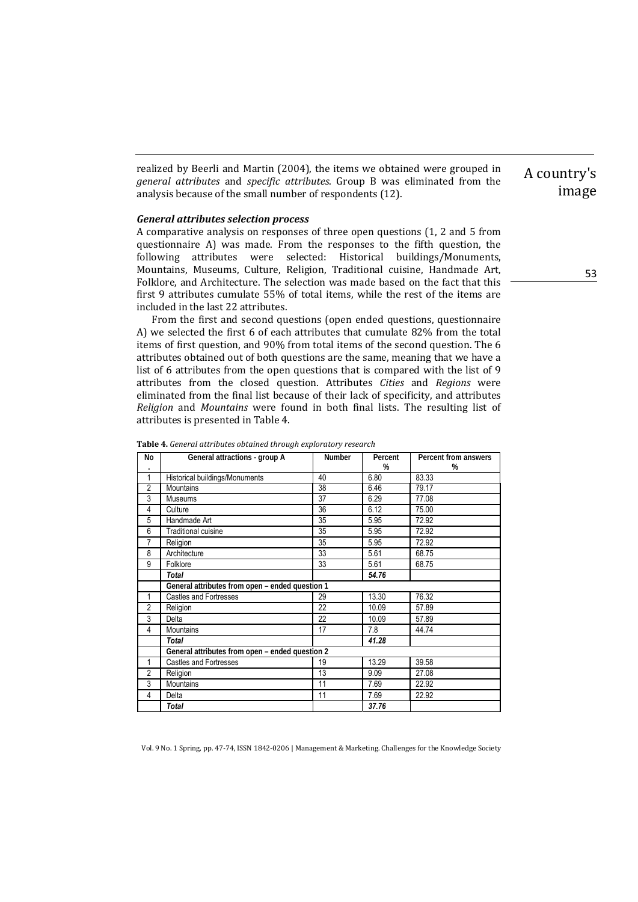realized by Beerli and Martin (2004), the items we obtained were grouped in *general attributes* and *specific attributes*. Group B was eliminated from the analysis because of the small number of respondents  $(12)$ .

### *General attributes selection process*

A comparative analysis on responses of three open questions (1, 2 and 5 from questionnaire A) was made. From the responses to the fifth question, the following attributes were selected: Historical buildings/Monuments, Mountains, Museums, Culture, Religion, Traditional cuisine, Handmade Art, Folklore, and Architecture. The selection was made based on the fact that this first 9 attributes cumulate  $55\%$  of total items, while the rest of the items are included in the last 22 attributes.

From the first and second questions (open ended questions, questionnaire A) we selected the first 6 of each attributes that cumulate 82% from the total items of first question, and 90% from total items of the second question. The 6 attributes obtained out of both questions are the same, meaning that we have a list of 6 attributes from the open questions that is compared with the list of 9 attributes from the closed question. Attributes *Cities* and *Regions* were eliminated from the final list because of their lack of specificity, and attributes *Religion* and *Mountains* were found in both final lists. The resulting list of attributes is presented in Table 4.

| No             | General attractions - group A<br>Number         |            | Percent      | Percent from answers |  |
|----------------|-------------------------------------------------|------------|--------------|----------------------|--|
|                |                                                 |            | %            | %                    |  |
| 1              | Historical buildings/Monuments                  | 40         | 6.80         | 83.33                |  |
| $\overline{2}$ | <b>Mountains</b>                                | 38         | 6.46         | 79.17                |  |
| 3              | <b>Museums</b>                                  | 37         | 6.29         | 77.08                |  |
| 4              | Culture                                         | 36         | 6.12         | 75.00                |  |
| 5              | Handmade Art                                    | 35         | 5.95         | 72.92                |  |
| 6              | Traditional cuisine                             | 35         | 5.95         | 72.92                |  |
| 7              | Religion                                        | 35         | 5.95         | 72.92                |  |
| 8              | Architecture                                    | 33         | 5.61         | 68.75                |  |
| 9              | Folklore                                        | 33<br>5.61 |              | 68.75                |  |
|                | <b>Total</b>                                    |            | 54.76        |                      |  |
|                | General attributes from open - ended question 1 |            |              |                      |  |
| 1              | <b>Castles and Fortresses</b>                   | 29         | 13.30        | 76.32                |  |
| $\overline{2}$ | Religion                                        | 22         | 10.09        | 57.89                |  |
| 3              | Delta                                           | 22         | 10.09        | 57.89                |  |
| 4              | <b>Mountains</b>                                | 17         | 7.8<br>44.74 |                      |  |
|                | 41.28<br>Total                                  |            |              |                      |  |
|                | General attributes from open - ended question 2 |            |              |                      |  |
| 1              | <b>Castles and Fortresses</b>                   | 19         | 13.29        | 39.58                |  |
| 2              | Religion                                        | 13         | 9.09         | 27.08                |  |
| 3              | <b>Mountains</b>                                | 11         | 7.69         | 22.92                |  |
| 4              | Delta                                           | 11         | 7.69         | 22.92                |  |
|                | Total                                           |            | 37.76        |                      |  |

**Table 4.** *General attributes obtained through exploratory research*

Vol. 9 No. 1 Spring, pp. 47-74, ISSN 1842-0206 | Management & Marketing. Challenges for the Knowledge Society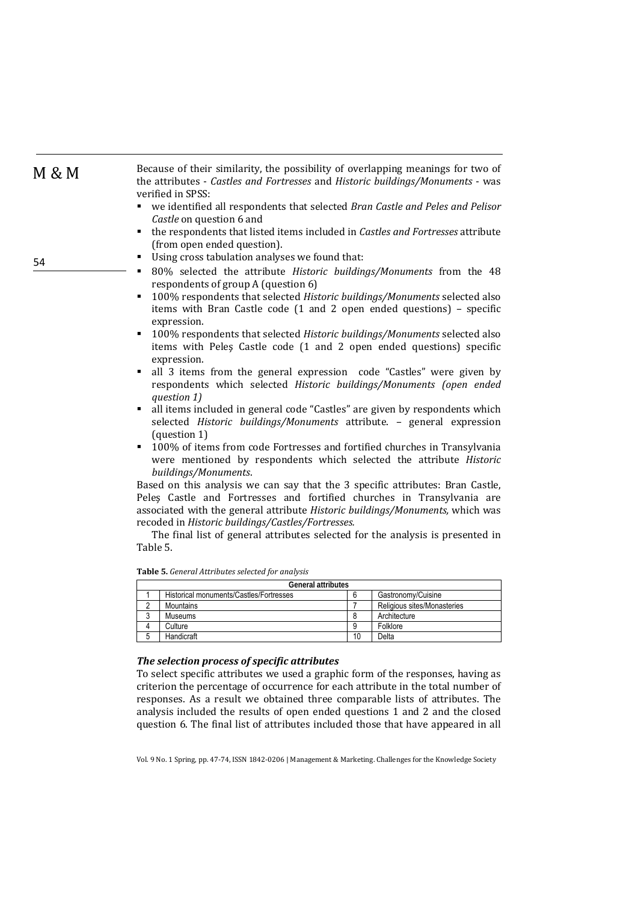| M & M | Because of their similarity, the possibility of overlapping meanings for two of<br>the attributes - Castles and Fortresses and Historic buildings/Monuments - was<br>verified in SPSS:                                                                                                                                                                                  |
|-------|-------------------------------------------------------------------------------------------------------------------------------------------------------------------------------------------------------------------------------------------------------------------------------------------------------------------------------------------------------------------------|
|       | we identified all respondents that selected Bran Castle and Peles and Pelisor<br>Castle on question 6 and<br>the respondents that listed items included in Castles and Fortresses attribute<br>(from open ended question).                                                                                                                                              |
| 54    | Using cross tabulation analyses we found that:<br>٠<br>80% selected the attribute Historic buildings/Monuments from the 48<br>٠<br>respondents of group A (question 6)<br>100% respondents that selected Historic buildings/Monuments selected also<br>٠<br>items with Bran Castle code (1 and 2 open ended questions) - specific<br>expression.                        |
|       | 100% respondents that selected Historic buildings/Monuments selected also<br>٠<br>items with Peles Castle code (1 and 2 open ended questions) specific<br>expression.<br>all 3 items from the general expression code "Castles" were given by<br>٠<br>respondents which selected Historic buildings/Monuments (open ended<br>question 1)                                |
|       | all items included in general code "Castles" are given by respondents which<br>$\blacksquare$<br>selected Historic buildings/Monuments attribute. - general expression<br>(question 1)<br>100% of items from code Fortresses and fortified churches in Transylvania<br>٠<br>were mentioned by respondents which selected the attribute Historic<br>buildings/Monuments. |
|       | Based on this analysis we can say that the 3 specific attributes: Bran Castle,<br>Peles Castle and Fortresses and fortified churches in Transylvania are<br>associated with the general attribute Historic buildings/Monuments, which was<br>recoded in Historic buildings/Castles/Fortresses.                                                                          |

The final list of general attributes selected for the analysis is presented in Table 5.

| <b>General attributes</b> |                                         |    |                             |  |
|---------------------------|-----------------------------------------|----|-----------------------------|--|
|                           | Historical monuments/Castles/Fortresses |    | Gastronomy/Cuisine          |  |
|                           | Mountains                               |    | Religious sites/Monasteries |  |
|                           | Museums                                 |    | Architecture                |  |
|                           | Culture                                 |    | Folklore                    |  |
|                           | Handicraft                              | 10 | Delta                       |  |

**Table 5.** *General Attributes selected for analysis*

# *The selection process of specific attributes*

To select specific attributes we used a graphic form of the responses, having as criterion the percentage of occurrence for each attribute in the total number of responses. As a result we obtained three comparable lists of attributes. The analysis included the results of open ended questions 1 and 2 and the closed question 6. The final list of attributes included those that have appeared in all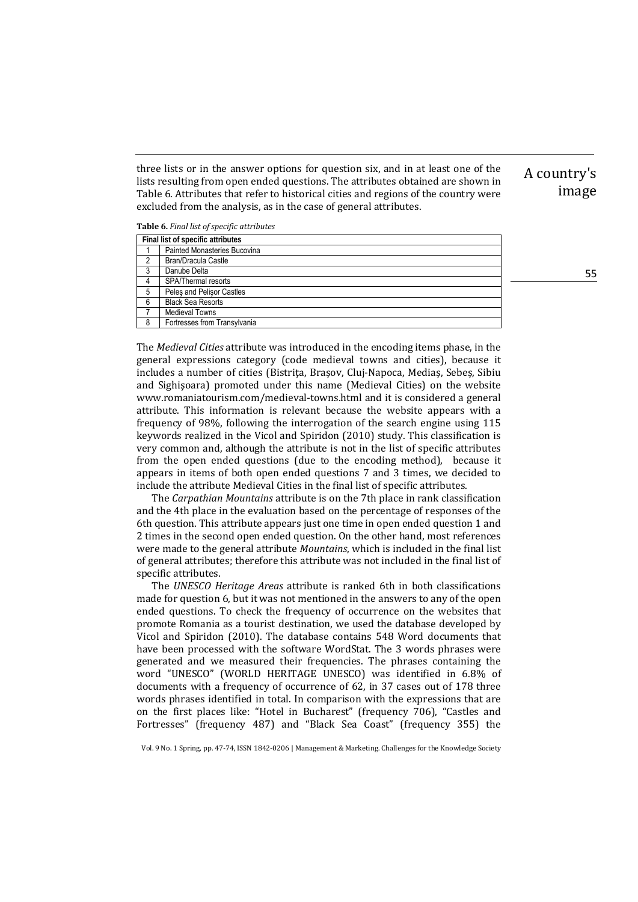three lists or in the answer options for question six, and in at least one of the lists resulting from open ended questions. The attributes obtained are shown in Table 6. Attributes that refer to historical cities and regions of the country were excluded from the analysis, as in the case of general attributes.

#### **Table 6.** *Final list of specific attributes*

|   | Final list of specific attributes |  |  |
|---|-----------------------------------|--|--|
|   | Painted Monasteries Bucovina      |  |  |
|   | Bran/Dracula Castle               |  |  |
| 3 | Danube Delta                      |  |  |
|   | SPA/Thermal resorts               |  |  |
| 5 | Peles and Pelisor Castles         |  |  |
| 6 | <b>Black Sea Resorts</b>          |  |  |
|   | <b>Medieval Towns</b>             |  |  |
| 8 | Fortresses from Transylvania      |  |  |

The *Medieval Cities* attribute was introduced in the encoding items phase, in the general expressions category (code medieval towns and cities), because it includes a number of cities (Bistrita, Brasov, Clui-Napoca, Medias, Sebes, Sibiu and Sighisoara) promoted under this name (Medieval Cities) on the website www.romaniatourism.com/medieval-towns.html and it is considered a general attribute. This information is relevant because the website appears with a frequency of 98%, following the interrogation of the search engine using 115 keywords realized in the Vicol and Spiridon (2010) study. This classification is very common and, although the attribute is not in the list of specific attributes from the open ended questions (due to the encoding method), because it appears in items of both open ended questions 7 and 3 times, we decided to include the attribute Medieval Cities in the final list of specific attributes.

The *Carpathian Mountains* attribute is on the 7th place in rank classification and the 4th place in the evaluation based on the percentage of responses of the 6th question. This attribute appears just one time in open ended question 1 and 2 times in the second open ended question. On the other hand, most references were made to the general attribute *Mountains*, which is included in the final list of general attributes; therefore this attribute was not included in the final list of specific attributes.

The *UNESCO Heritage Areas* attribute is ranked 6th in both classifications made for question 6, but it was not mentioned in the answers to any of the open ended questions. To check the frequency of occurrence on the websites that promote Romania as a tourist destination, we used the database developed by Vicol and Spiridon (2010). The database contains 548 Word documents that have been processed with the software WordStat. The 3 words phrases were generated and we measured their frequencies. The phrases containing the word "UNESCO" (WORLD HERITAGE UNESCO) was identified in 6.8% of documents with a frequency of occurrence of 62, in 37 cases out of 178 three words phrases identified in total. In comparison with the expressions that are on the first places like: "Hotel in Bucharest" (frequency 706), "Castles and Fortresses" (frequency 487) and "Black Sea Coast" (frequency 355) the

Vol. 9 No. 1 Spring, pp. 47-74, ISSN 1842-0206 | Management & Marketing. Challenges for the Knowledge Society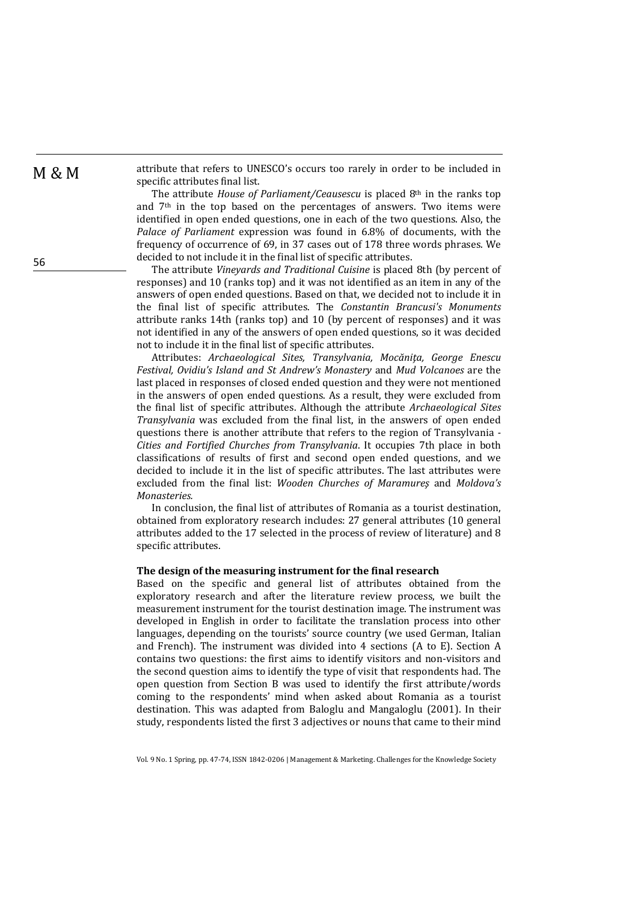$M \& M$  attribute that refers to UNESCO's occurs too rarely in order to be included in specific attributes final list.

> The attribute *House of Parliament/Ceausescu* is placed 8<sup>th</sup> in the ranks top and  $7<sup>th</sup>$  in the top based on the percentages of answers. Two items were identified in open ended questions, one in each of the two questions. Also, the *Palace* of *Parliament* expression was found in 6.8% of documents, with the frequency of occurrence of 69, in 37 cases out of 178 three words phrases. We decided to not include it in the final list of specific attributes.

> The attribute *Vineyards and Traditional Cuisine* is placed 8th (by percent of responses) and 10 (ranks top) and it was not identified as an item in any of the answers of open ended questions. Based on that, we decided not to include it in the final list of specific attributes. The *Constantin Brancusi's Monuments* attribute ranks 14th (ranks top) and 10 (by percent of responses) and it was not identified in any of the answers of open ended questions, so it was decided not to include it in the final list of specific attributes.

> Attributes: *Archaeological Sites, Transylvania, Mocăniţa, George Enescu Festival, Ovidiu's Island and St Andrew's Monastery* and *Mud Volcanoes* are the last placed in responses of closed ended question and they were not mentioned in the answers of open ended questions. As a result, they were excluded from the final list of specific attributes. Although the attribute *Archaeological Sites Transylvania* was excluded from the final list, in the answers of open ended questions there is another attribute that refers to the region of Transylvania -*Cities and Fortified Churches from Transylvania*. It occupies 7th place in both classifications of results of first and second open ended questions, and we decided to include it in the list of specific attributes. The last attributes were excluded from the final list: *Wooden Churches of Maramureş* and *Moldova's*  $Monasteries.$

> In conclusion, the final list of attributes of Romania as a tourist destination, obtained from exploratory research includes: 27 general attributes (10 general attributes added to the 17 selected in the process of review of literature) and 8 specific attributes.

### **The design of the measuring instrument for the final research**

Based on the specific and general list of attributes obtained from the exploratory research and after the literature review process, we built the measurement instrument for the tourist destination image. The instrument was developed in English in order to facilitate the translation process into other languages, depending on the tourists' source country (we used German, Italian and French). The instrument was divided into 4 sections  $(A \text{ to } E)$ . Section A contains two questions: the first aims to identify visitors and non-visitors and the second question aims to identify the type of visit that respondents had. The open question from Section B was used to identify the first attribute/words coming to the respondents' mind when asked about Romania as a tourist destination. This was adapted from Baloglu and Mangaloglu (2001). In their study, respondents listed the first 3 adjectives or nouns that came to their mind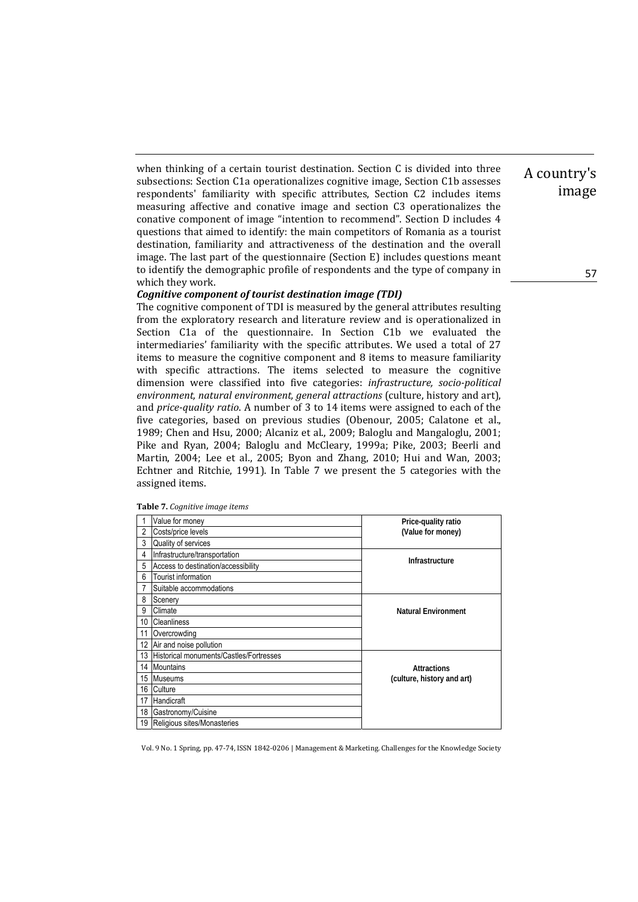when thinking of a certain tourist destination. Section  $C$  is divided into three subsections: Section C1a operationalizes cognitive image, Section C1b assesses respondents' familiarity with specific attributes, Section C2 includes items measuring affective and conative image and section C3 operationalizes the conative component of image "intention to recommend". Section D includes 4 questions that aimed to identify: the main competitors of Romania as a tourist destination, familiarity and attractiveness of the destination and the overall image. The last part of the questionnaire  $(Section E)$  includes questions meant to identify the demographic profile of respondents and the type of company in which they work.

### *Cognitive component of tourist destination image (TDI)*

The cognitive component of TDI is measured by the general attributes resulting from the exploratory research and literature review and is operationalized in Section C1a of the questionnaire. In Section C1b we evaluated the intermediaries' familiarity with the specific attributes. We used a total of 27 items to measure the cognitive component and 8 items to measure familiarity with specific attractions. The items selected to measure the cognitive dimension were classified into five categories: *infrastructure, socio‐political environment, natural environment, general attractions* (culture, history and art), and *price-quality ratio*. A number of 3 to 14 items were assigned to each of the five categories, based on previous studies (Obenour, 2005; Calatone et al., 1989; Chen and Hsu, 2000; Alcaniz et al., 2009; Baloglu and Mangaloglu, 2001; Pike and Ryan, 2004; Baloglu and McCleary, 1999a; Pike, 2003; Beerli and Martin, 2004; Lee et al., 2005; Byon and Zhang, 2010; Hui and Wan, 2003; Echtner and Ritchie, 1991). In Table  $7$  we present the  $5$  categories with the assigned items.

|    | Value for money                         | Price-quality ratio        |  |
|----|-----------------------------------------|----------------------------|--|
| 2  | Costs/price levels                      | (Value for money)          |  |
| 3  | Quality of services                     |                            |  |
| 4  | Infrastructure/transportation           | Infrastructure             |  |
| 5  | Access to destination/accessibility     |                            |  |
| 6  | Tourist information                     |                            |  |
| 7  | Suitable accommodations                 |                            |  |
| 8  | Scenery                                 |                            |  |
| 9  | Climate                                 | <b>Natural Environment</b> |  |
| 10 | <b>Cleanliness</b>                      |                            |  |
| 11 | Overcrowding                            |                            |  |
| 12 | Air and noise pollution                 |                            |  |
| 13 | Historical monuments/Castles/Fortresses |                            |  |
| 14 | <b>Mountains</b>                        | <b>Attractions</b>         |  |
| 15 | <b>Museums</b>                          | (culture, history and art) |  |
| 16 | Culture                                 |                            |  |
| 17 | Handicraft                              |                            |  |
| 18 | Gastronomy/Cuisine                      |                            |  |
| 19 | Religious sites/Monasteries             |                            |  |

**Table 7.** *Cognitive image items*

Vol. 9 No. 1 Spring, pp. 47-74, ISSN 1842-0206 | Management & Marketing. Challenges for the Knowledge Society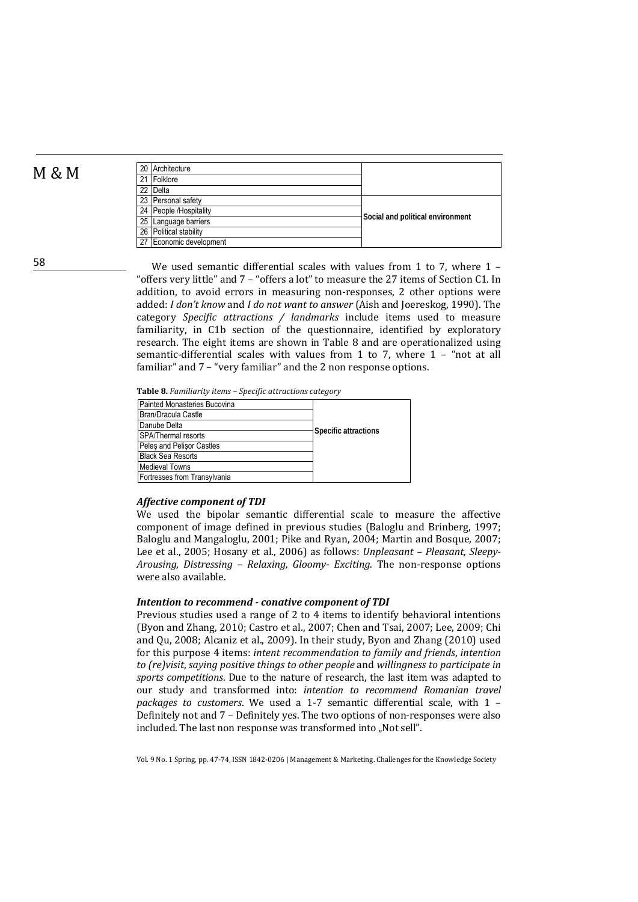| M<br>Μ |
|--------|
|--------|

| M & M | 20 Architecture         |                                  |
|-------|-------------------------|----------------------------------|
|       | 21 Folklore             |                                  |
|       | 22 Delta                |                                  |
|       | 23 Personal safety      |                                  |
|       | 24 People /Hospitality  | Social and political environment |
|       | 25 Language barriers    |                                  |
|       | 26 Political stability  |                                  |
|       | 27 Economic development |                                  |

58

We used semantic differential scales with values from 1 to 7, where  $1 -$ "offers very little" and  $7$  - "offers a lot" to measure the 27 items of Section C1. In addition, to avoid errors in measuring non-responses, 2 other options were added: *I don't know* and *I do not want to answer* (Aish and Joereskog, 1990). The category *Specific attractions / landmarks* include items used to measure familiarity, in C1b section of the questionnaire, identified by exploratory research. The eight items are shown in Table 8 and are operationalized using semantic-differential scales with values from 1 to 7, where  $1 - \text{``not at all}$ familiar" and  $7 -$  "very familiar" and the 2 non response options.

**Table 8.** *Familiarity items – Specific attractions category*

| Painted Monasteries Bucovina |                      |
|------------------------------|----------------------|
| Bran/Dracula Castle          |                      |
| Danube Delta                 |                      |
| <b>SPA/Thermal resorts</b>   | Specific attractions |
| Peles and Pelisor Castles    |                      |
| <b>Black Sea Resorts</b>     |                      |
| <b>Medieval Towns</b>        |                      |
| Fortresses from Transylvania |                      |

#### *Affective component of TDI*

We used the bipolar semantic differential scale to measure the affective component of image defined in previous studies (Baloglu and Brinberg, 1997; Baloglu and Mangaloglu, 2001; Pike and Ryan, 2004; Martin and Bosque, 2007; Lee et al., 2005; Hosany et al., 2006) as follows: *Unpleasant – Pleasant, Sleepy*-*Arousing, Distressing – Relaxing, Gloomy‐ Exciting*. The non‐response options were also available.

### *Intention to recommend ‐ conative component of TDI*

Previous studies used a range of 2 to 4 items to identify behavioral intentions (Byon and Zhang, 2010; Castro et al., 2007; Chen and Tsai, 2007; Lee, 2009; Chi and Ou, 2008; Alcaniz et al., 2009). In their study, Byon and Zhang (2010) used for this purpose 4 items: *intent recommendation to family and friends*, *intention to (re)visit*, *saying positive things to other people* and *willingness to participate in* sports competitions. Due to the nature of research, the last item was adapted to our study and transformed into: *intention to recommend Romanian travel packages to customers*. We used a 1‐7 semantic differential scale, with 1 – Definitely not and  $7$  – Definitely yes. The two options of non-responses were also included. The last non response was transformed into "Not sell".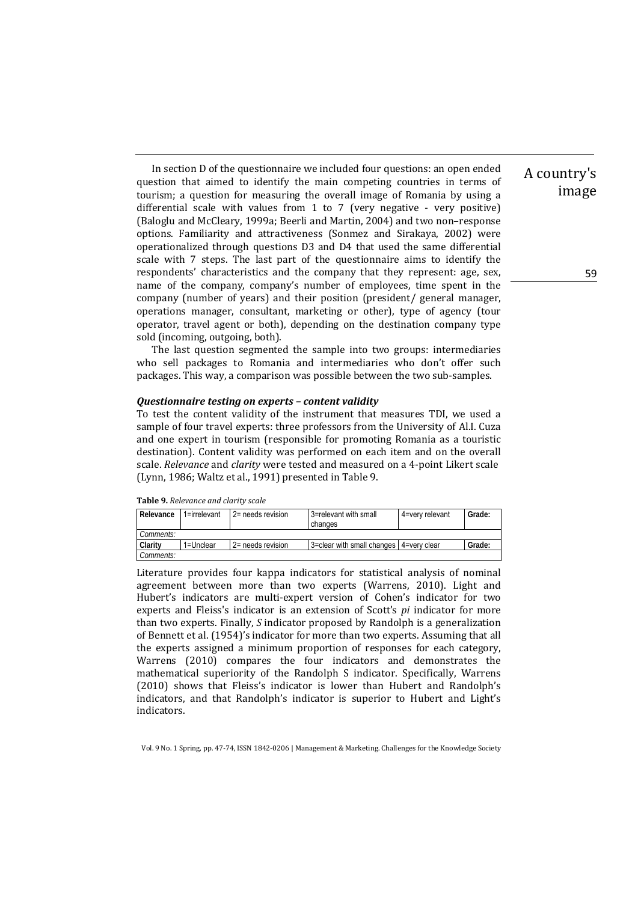In section D of the questionnaire we included four questions: an open ended question that aimed to identify the main competing countries in terms of tourism; a question for measuring the overall image of Romania by using a differential scale with values from 1 to 7 (very negative  $\cdot$  very positive) (Baloglu and McCleary, 1999a; Beerli and Martin, 2004) and two non-response options. Familiarity and attractiveness (Sonmez and Sirakaya, 2002) were operationalized through questions D3 and D4 that used the same differential scale with 7 steps. The last part of the questionnaire aims to identify the respondents' characteristics and the company that they represent: age, sex, name of the company, company's number of employees, time spent in the company (number of years) and their position (president/ general manager, operations manager, consultant, marketing or other), type of agency (tour operator, travel agent or both), depending on the destination company type sold (incoming, outgoing, both).

The last question segmented the sample into two groups: intermediaries who sell packages to Romania and intermediaries who don't offer such packages. This way, a comparison was possible between the two sub-samples.

#### *Questionnaire testing on experts – content validity*

To test the content validity of the instrument that measures TDI, we used a sample of four travel experts: three professors from the University of Al.I. Cuza and one expert in tourism (responsible for promoting Romania as a touristic destination). Content validity was performed on each item and on the overall scale. *Relevance* and *clarity* were tested and measured on a 4-point Likert scale (Lynn, 1986; Waltz et al., 1991) presented in Table 9.

|  | <b>Table 9.</b> Relevance and clarity scale |  |
|--|---------------------------------------------|--|
|--|---------------------------------------------|--|

| Relevance        | 1=irrelevant | 2= needs revision | 3=relevant with small<br>changes          | 4=very relevant | Grade: |
|------------------|--------------|-------------------|-------------------------------------------|-----------------|--------|
| <i>Comments:</i> |              |                   |                                           |                 |        |
| Clarity          | 1=Unclear    | 2= needs revision | 3=clear with small changes   4=very clear |                 | Grade: |
| Comments:        |              |                   |                                           |                 |        |

Literature provides four kappa indicators for statistical analysis of nominal agreement between more than two experts (Warrens, 2010). Light and Hubert's indicators are multi-expert version of Cohen's indicator for two experts and Fleiss's indicator is an extension of Scott's *pi* indicator for more than two experts. Finally, *S* indicator proposed by Randolph is a generalization of Bennett et al. (1954)'s indicator for more than two experts. Assuming that all the experts assigned a minimum proportion of responses for each category, Warrens (2010) compares the four indicators and demonstrates the mathematical superiority of the Randolph S indicator. Specifically, Warrens (2010) shows that Fleiss's indicator is lower than Hubert and Randolph's indicators, and that Randolph's indicator is superior to Hubert and Light's indicators. 

Vol. 9 No. 1 Spring, pp. 47-74, ISSN 1842-0206 | Management & Marketing. Challenges for the Knowledge Society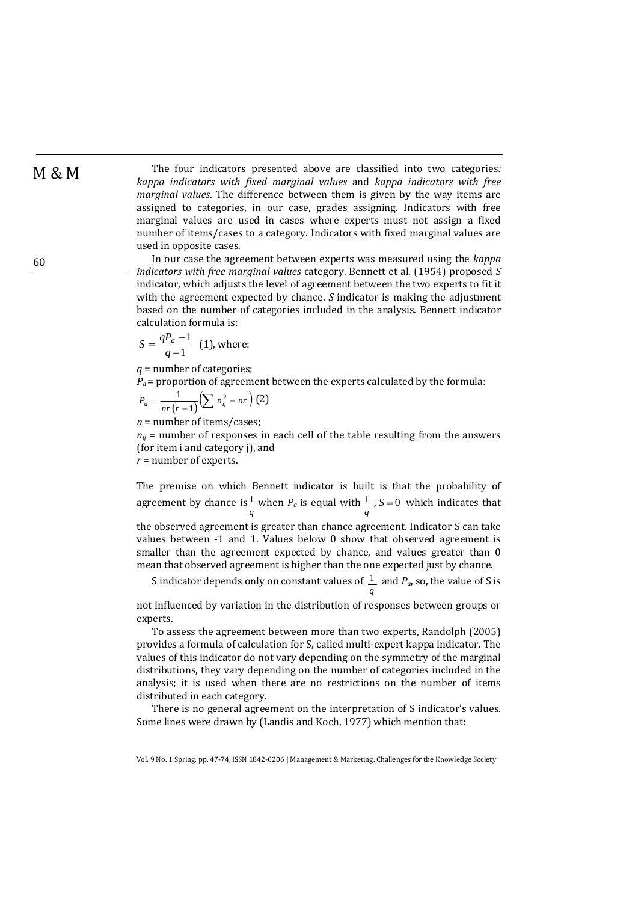M & M The four indicators presented above are classified into two categories: *kappa indicators with fixed marginal values* and *kappa indicators with free marginal values*. The difference between them is given by the way items are assigned to categories, in our case, grades assigning. Indicators with free marginal values are used in cases where experts must not assign a fixed number of items/cases to a category. Indicators with fixed marginal values are used in opposite cases.

> In our case the agreement between experts was measured using the *kappa indicators with free marginal values* category. Bennett et al. (1954) proposed *S* indicator, which adjusts the level of agreement between the two experts to fit it with the agreement expected by chance.  $S$  indicator is making the adjustment based on the number of categories included in the analysis. Bennett indicator calculation formula is:

$$
S = \frac{qP_a - 1}{q - 1}
$$
 (1), where:

*q* = number of categories;

 $P_a$  = proportion of agreement between the experts calculated by the formula:

$$
P_a = \frac{1}{nr(r-1)} \Bigl( \sum n_{ij}^2 - nr \Bigr) \, (2)
$$

 $n =$  number of items/cases;

 $n_{ij}$  = number of responses in each cell of the table resulting from the answers (for item i and category j), and

 $r =$  number of experts.

The premise on which Bennett indicator is built is that the probability of agreement by chance is *q*  $\frac{1}{n}$  when  $P_a$  is equal with *q*  $\frac{1}{s}$ , *S* = 0 which indicates that the observed agreement is greater than chance agreement. Indicator S can take values between  $-1$  and 1. Values below 0 show that observed agreement is smaller than the agreement expected by chance, and values greater than 0 mean that observed agreement is higher than the one expected just by chance.

S indicator depends only on constant values of *q*  $\frac{1}{s}$  and  $P_a$ , so, the value of S is

not influenced by variation in the distribution of responses between groups or experts. 

To assess the agreement between more than two experts, Randolph (2005) provides a formula of calculation for S, called multi-expert kappa indicator. The values of this indicator do not vary depending on the symmetry of the marginal distributions, they vary depending on the number of categories included in the analysis; it is used when there are no restrictions on the number of items distributed in each category.

There is no general agreement on the interpretation of S indicator's values. Some lines were drawn by (Landis and Koch, 1977) which mention that:

Vol. 9 No. 1 Spring, pp. 47-74, ISSN 1842-0206 | Management & Marketing. Challenges for the Knowledge Society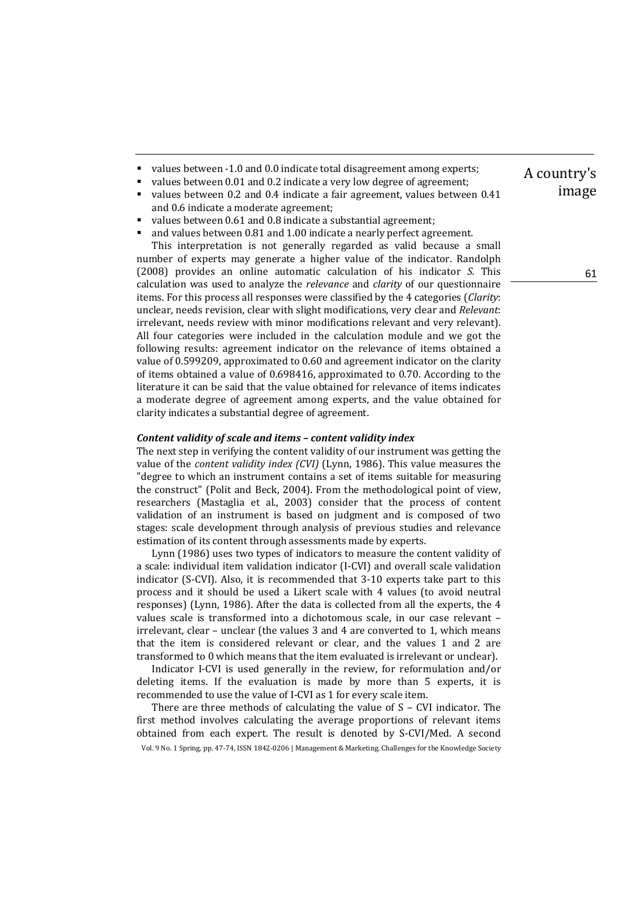- values between -1.0 and 0.0 indicate total disagreement among experts;
- values between 0.01 and 0.2 indicate a very low degree of agreement;
- values between 0.2 and 0.4 indicate a fair agreement, values between 0.41 and 0.6 indicate a moderate agreement;
- values between  $0.61$  and  $0.8$  indicate a substantial agreement;

and values between 0.81 and 1.00 indicate a nearly perfect agreement. This interpretation is not generally regarded as valid because a small number of experts may generate a higher value of the indicator. Randolph (2008) provides an online automatic calculation of his indicator *S*. This calculation was used to analyze the *relevance* and *clarity* of our questionnaire items. For this process all responses were classified by the 4 categories (*Clarity*: unclear, needs revision, clear with slight modifications, very clear and *Relevant*: irrelevant, needs review with minor modifications relevant and very relevant). All four categories were included in the calculation module and we got the following results: agreement indicator on the relevance of items obtained a value of  $0.599209$ , approximated to  $0.60$  and agreement indicator on the clarity of items obtained a value of 0.698416, approximated to 0.70. According to the literature it can be said that the value obtained for relevance of items indicates a moderate degree of agreement among experts, and the value obtained for clarity indicates a substantial degree of agreement.

### *Content validity of scale and items – content validity index*

The next step in verifying the content validity of our instrument was getting the value of the *content validity index (CVI)* (Lynn, 1986). This value measures the "degree to which an instrument contains a set of items suitable for measuring the construct" (Polit and Beck, 2004). From the methodological point of view, researchers (Mastaglia et al., 2003) consider that the process of content validation of an instrument is based on judgment and is composed of two stages: scale development through analysis of previous studies and relevance estimation of its content through assessments made by experts.

Lynn (1986) uses two types of indicators to measure the content validity of a scale: individual item validation indicator (I-CVI) and overall scale validation indicator (S-CVI). Also, it is recommended that 3-10 experts take part to this process and it should be used a Likert scale with 4 values (to avoid neutral responses) (Lynn, 1986). After the data is collected from all the experts, the 4 values scale is transformed into a dichotomous scale, in our case relevant irrelevant, clear - unclear (the values 3 and 4 are converted to 1, which means that the item is considered relevant or clear, and the values 1 and 2 are transformed to 0 which means that the item evaluated is irrelevant or unclear).

Indicator I-CVI is used generally in the review, for reformulation and/or deleting items. If the evaluation is made by more than  $5$  experts, it is recommended to use the value of I-CVI as 1 for every scale item.

Vol. 9 No. 1 Spring, pp. 47-74, ISSN 1842-0206 | Management & Marketing. Challenges for the Knowledge Society There are three methods of calculating the value of  $S - CVI$  indicator. The first method involves calculating the average proportions of relevant items obtained from each expert. The result is denoted by S-CVI/Med. A second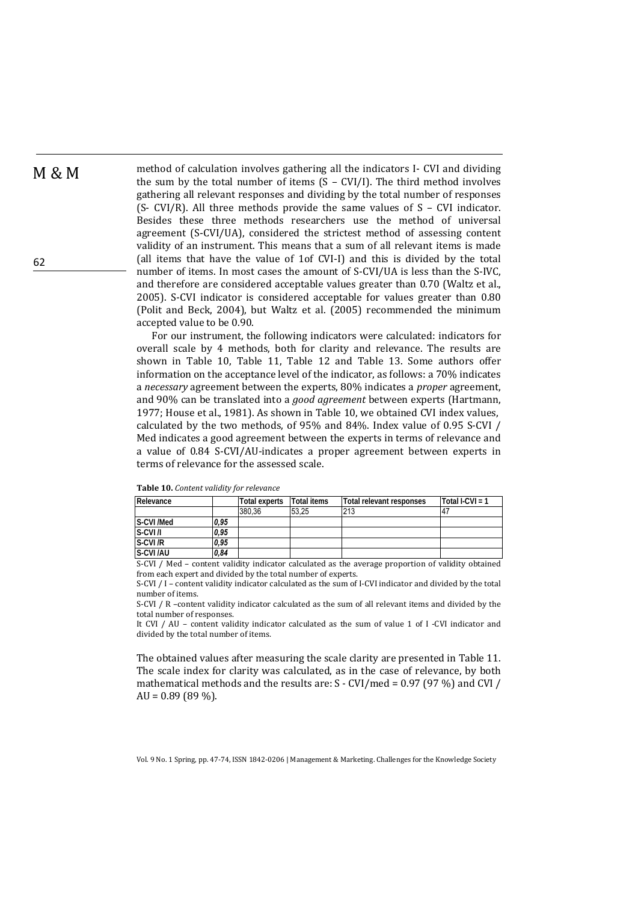62

 $M \& M$  method of calculation involves gathering all the indicators I- CVI and dividing the sum by the total number of items  $(S - CVI/I)$ . The third method involves gathering all relevant responses and dividing by the total number of responses (S- CVI/R). All three methods provide the same values of  $S - CVI$  indicator. Besides these three methods researchers use the method of universal agreement  $(S-CVI/UA)$ , considered the strictest method of assessing content validity of an instrument. This means that a sum of all relevant items is made (all items that have the value of 1of CVI-I) and this is divided by the total number of items. In most cases the amount of S-CVI/UA is less than the S-IVC, and therefore are considered acceptable values greater than 0.70 (Waltz et al., 2005). S-CVI indicator is considered acceptable for values greater than 0.80 (Polit and Beck, 2004), but Waltz et al. (2005) recommended the minimum accepted value to be 0.90.

> For our instrument, the following indicators were calculated: indicators for overall scale by 4 methods, both for clarity and relevance. The results are shown in Table 10, Table 11, Table 12 and Table 13. Some authors offer information on the acceptance level of the indicator, as follows: a 70% indicates a *necessary* agreement between the experts, 80% indicates a *proper* agreement, and 90% can be translated into a *good agreement* between experts (Hartmann, 1977; House et al., 1981). As shown in Table 10, we obtained CVI index values, calculated by the two methods, of  $95\%$  and  $84\%$ . Index value of 0.95 S-CVI / Med indicates a good agreement between the experts in terms of relevance and a value of 0.84 S-CVI/AU-indicates a proper agreement between experts in terms of relevance for the assessed scale.

| Relevance                          |      | Total experts | <b>Total items</b> | Total relevant responses                                                                                       | Total I-CVI = $1$ |
|------------------------------------|------|---------------|--------------------|----------------------------------------------------------------------------------------------------------------|-------------------|
|                                    |      | 380.36        | 53.25              | 213                                                                                                            |                   |
| S-CVI /Med                         | 0.95 |               |                    |                                                                                                                |                   |
| S-CVI/I                            | 0.95 |               |                    |                                                                                                                |                   |
| S-CVI/R                            | 0.95 |               |                    |                                                                                                                |                   |
| S-CVI/AU                           | 0.84 |               |                    |                                                                                                                |                   |
| $C$ $C$ $U$ $I$ $I$ $M$ $\sim$ $J$ |      |               |                    | والمستقطعات ومنتاه المرواني ومرتضي ومستمر ومستحدث والمالي المستما ووالمراقص ومستحدثا والمتاريخ الموالي ستحسنهم |                   |

**Table 10.** *Content validity for relevance*

 $S\text{-CVI}$  / Med – content validity indicator calculated as the average proportion of validity obtained from each expert and divided by the total number of experts.

S-CVI / I - content validity indicator calculated as the sum of I-CVI indicator and divided by the total number of items. 

S-CVI / R -content validity indicator calculated as the sum of all relevant items and divided by the total number of responses.

It CVI / AU – content validity indicator calculated as the sum of value 1 of I -CVI indicator and divided by the total number of items.

The obtained values after measuring the scale clarity are presented in Table 11. The scale index for clarity was calculated, as in the case of relevance, by both mathematical methods and the results are:  $S$  - CVI/med = 0.97 (97 %) and CVI / AU =  $0.89(89\%)$ .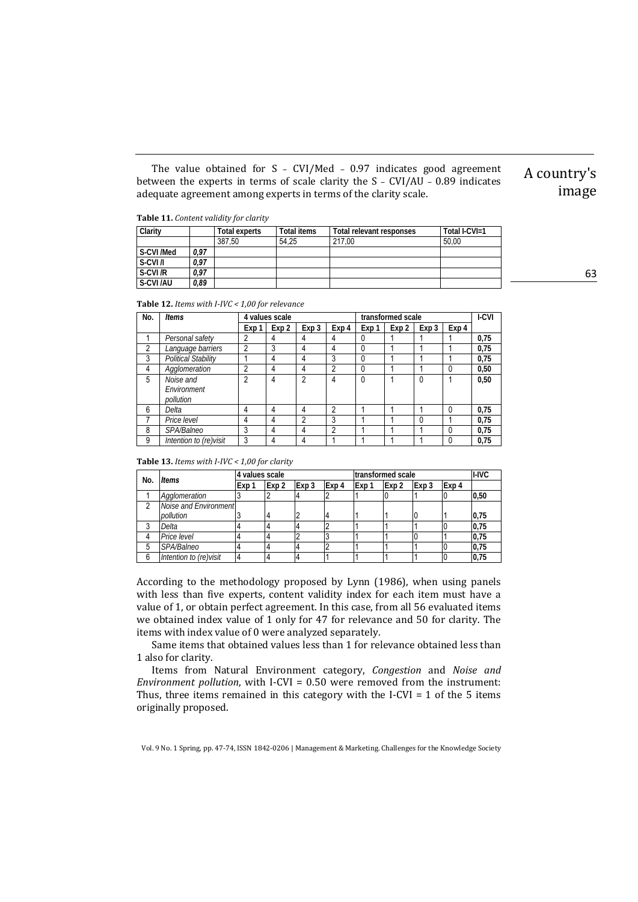The value obtained for  $S$  - CVI/Med - 0.97 indicates good agreement between the experts in terms of scale clarity the  $S$  - CVI/AU - 0.89 indicates adequate agreement among experts in terms of the clarity scale.

**Table 11.** *Content validity for clarity*

| Clarity   |      | Total experts | Total items | Total relevant responses | Total I-CVI=1 |
|-----------|------|---------------|-------------|--------------------------|---------------|
|           |      | 387.50        | 54.25       | 217.00                   | 50.00         |
| S-CVI/Med | 0,97 |               |             |                          |               |
| S-CVI/I   | 0,97 |               |             |                          |               |
| S-CVI/R   | 0.97 |               |             |                          |               |
| S-CVI/AU  | 0.89 |               |             |                          |               |

**Table 12.** *Items with I‐IVC < 1,00 for relevance*

| No.            | ltems                                 | 4 values scale |                  |       | transformed scale |              |       |              | I-CVI    |      |
|----------------|---------------------------------------|----------------|------------------|-------|-------------------|--------------|-------|--------------|----------|------|
|                |                                       | Exp 1          | Exp <sub>2</sub> | Exp 3 | Exp 4             | Exp 1        | Exp 2 | Exp 3        | Exp 4    |      |
|                | Personal safety                       | 2              | 4                | 4     | 4                 | 0            |       |              |          | 0,75 |
| $\overline{2}$ | Language barriers                     | $\overline{2}$ | 3                | 4     | 4                 | 0            |       |              |          | 0,75 |
| 3              | <b>Political Stability</b>            |                | 4                | 4     | 3                 | $\mathbf{0}$ |       |              |          | 0,75 |
| 4              | Agglomeration                         | 2              | 4                | 4     | 2                 | $\mathbf{0}$ |       |              | 0        | 0,50 |
| 5              | Noise and<br>Environment<br>pollution | 2              | 4                | 2     | 4                 | $\mathbf{0}$ |       | $\mathbf{0}$ |          | 0,50 |
| 6              | Delta                                 | 4              | 4                | 4     | 2                 |              |       |              | $\Omega$ | 0,75 |
|                | Price level                           | 4              | 4                | 2     | 3                 |              |       |              |          | 0,75 |
| 8              | SPA/Balneo                            | 3              | 4                | 4     | 2                 |              |       |              | $\Omega$ | 0,75 |
| 9              | Intention to (re)visit                | 3              | 4                | 4     |                   |              |       |              | $\Omega$ | 0,75 |

**Table 13.** *Items with I‐IVC < 1,00 for clarity*

| No. | Items                  | 4 values scale |                  |       | transformed scale |       |       |       | I-IVC |      |
|-----|------------------------|----------------|------------------|-------|-------------------|-------|-------|-------|-------|------|
|     |                        | Exp 1          | Exp <sub>2</sub> | Exp 3 | Exp 4             | Exp 1 | Exp 2 | Exp 3 | Exp 4 |      |
|     | Agglomeration          |                |                  |       |                   |       |       |       |       | 0,50 |
|     | Noise and Environment  |                |                  |       |                   |       |       |       |       |      |
|     | pollution              |                |                  |       |                   |       |       |       |       | 0,75 |
|     | Delta                  |                |                  |       |                   |       |       |       |       | 0,75 |
|     | Price level            |                |                  |       |                   |       |       |       |       | 0,75 |
|     | SPA/Balneo             |                |                  |       |                   |       |       |       |       | 0,75 |
| 6   | Intention to (re)visit |                |                  |       |                   |       |       |       |       | 0,75 |

According to the methodology proposed by Lynn (1986), when using panels with less than five experts, content validity index for each item must have a value of 1, or obtain perfect agreement. In this case, from all 56 evaluated items we obtained index value of 1 only for 47 for relevance and 50 for clarity. The items with index value of 0 were analyzed separately.

Same items that obtained values less than 1 for relevance obtained less than 1 also for clarity.

Items from Natural Environment category, *Congestion* and *Noise and Environment pollution,* with I-CVI = 0.50 were removed from the instrument: Thus, three items remained in this category with the I-CVI =  $1$  of the  $5$  items originally proposed.

Vol. 9 No. 1 Spring, pp. 47-74, ISSN 1842-0206 | Management & Marketing. Challenges for the Knowledge Society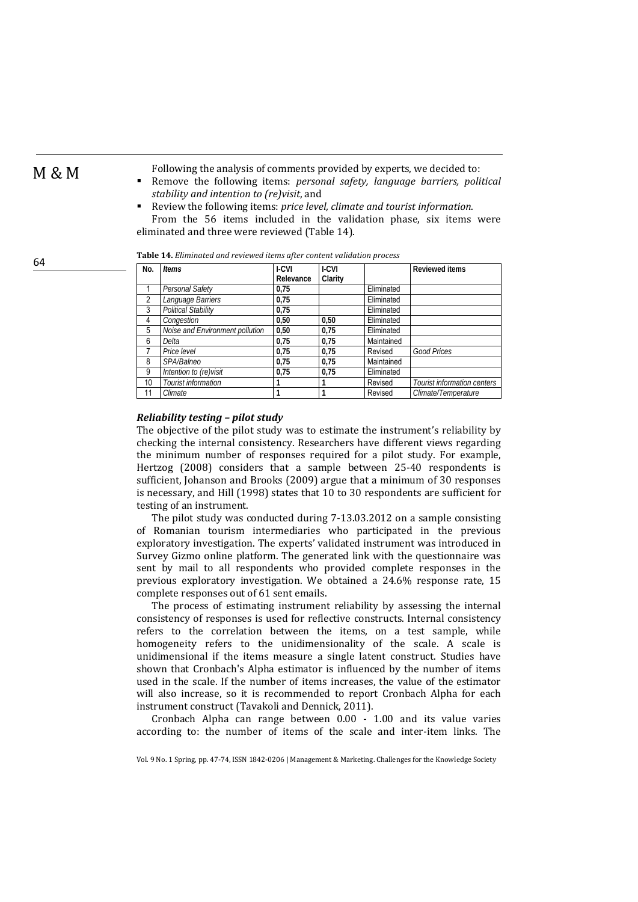64

 $M \& M$  Following the analysis of comments provided by experts, we decided to: Remove the following items: *personal safety, language barriers, political stability and intention to (re)visit*, and 

 Review the following items: *price level, climate and tourist information*. From the 56 items included in the validation phase, six items were eliminated and three were reviewed (Table 14).

| No.            | <b>Items</b>                    | I-CVI     | I-CVI   |            | <b>Reviewed items</b>       |
|----------------|---------------------------------|-----------|---------|------------|-----------------------------|
|                |                                 | Relevance | Clarity |            |                             |
|                | Personal Safety                 | 0.75      |         | Eliminated |                             |
| $\overline{2}$ | Language Barriers               | 0,75      |         | Eliminated |                             |
| 3              | <b>Political Stability</b>      | 0.75      |         | Eliminated |                             |
| 4              | Congestion                      | 0.50      | 0.50    | Eliminated |                             |
| 5              | Noise and Environment pollution | 0.50      | 0.75    | Eliminated |                             |
| 6              | Delta                           | 0.75      | 0.75    | Maintained |                             |
|                | Price level                     | 0.75      | 0.75    | Revised    | <b>Good Prices</b>          |
| 8              | SPA/Balneo                      | 0.75      | 0.75    | Maintained |                             |
| 9              | Intention to (re)visit          | 0.75      | 0.75    | Eliminated |                             |
| 10             | Tourist information             |           | 1       | Revised    | Tourist information centers |
| 11             | Climate                         |           |         | Revised    | Climate/Temperature         |

**Table 14.** *Eliminated and reviewed items after content validation process*

### *Reliability testing – pilot study*

The objective of the pilot study was to estimate the instrument's reliability by checking the internal consistency. Researchers have different views regarding the minimum number of responses required for a pilot study. For example, Hertzog (2008) considers that a sample between 25-40 respondents is sufficient, Johanson and Brooks (2009) argue that a minimum of 30 responses is necessary, and Hill (1998) states that 10 to 30 respondents are sufficient for testing of an instrument.

The pilot study was conducted during  $7-13.03.2012$  on a sample consisting of Romanian tourism intermediaries who participated in the previous exploratory investigation. The experts' validated instrument was introduced in Survey Gizmo online platform. The generated link with the questionnaire was sent by mail to all respondents who provided complete responses in the previous exploratory investigation. We obtained a  $24.6\%$  response rate, 15 complete responses out of 61 sent emails.

The process of estimating instrument reliability by assessing the internal consistency of responses is used for reflective constructs. Internal consistency refers to the correlation between the items, on a test sample, while homogeneity refers to the unidimensionality of the scale. A scale is unidimensional if the items measure a single latent construct. Studies have shown that Cronbach's Alpha estimator is influenced by the number of items used in the scale. If the number of items increases, the value of the estimator will also increase, so it is recommended to report Cronbach Alpha for each instrument construct (Tavakoli and Dennick, 2011).

Cronbach Alpha can range between  $0.00 - 1.00$  and its value varies according to: the number of items of the scale and inter-item links. The

Vol. 9 No. 1 Spring, pp. 47-74, ISSN 1842-0206 | Management & Marketing. Challenges for the Knowledge Society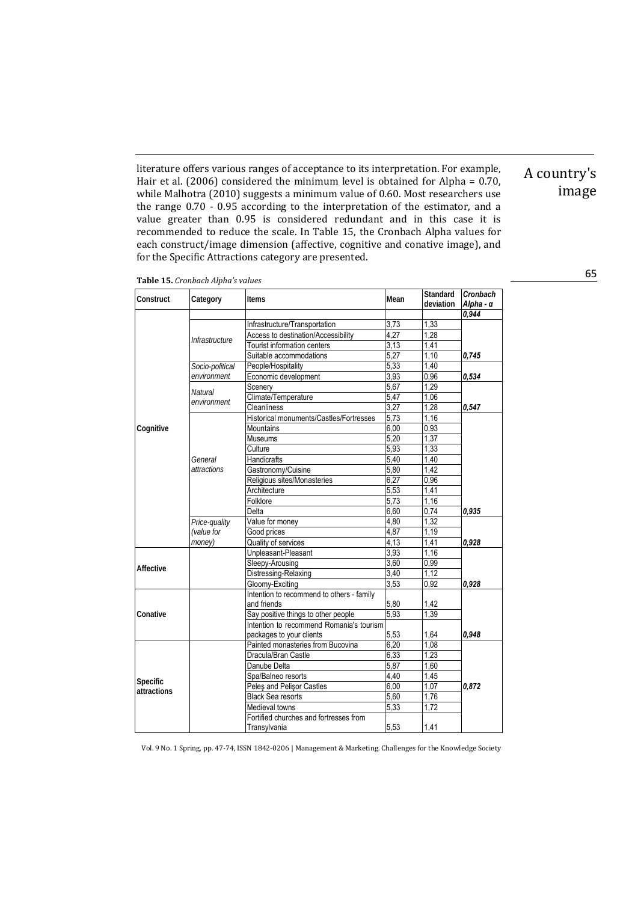literature offers various ranges of acceptance to its interpretation. For example, Hair et al. (2006) considered the minimum level is obtained for Alpha =  $0.70$ , while Malhotra  $(2010)$  suggests a minimum value of 0.60. Most researchers use the range  $0.70 - 0.95$  according to the interpretation of the estimator, and a value greater than 0.95 is considered redundant and in this case it is recommended to reduce the scale. In Table 15, the Cronbach Alpha values for each construct/image dimension (affective, cognitive and conative image), and for the Specific Attractions category are presented.

|  |  | Table 15. Cronbach Alpha's values |  |
|--|--|-----------------------------------|--|
|--|--|-----------------------------------|--|

| Construct   | Category        | Items                                     | Mean | Standard<br>deviation | Cronbach<br>Alpha - α |
|-------------|-----------------|-------------------------------------------|------|-----------------------|-----------------------|
|             |                 |                                           |      |                       | 0,944                 |
|             |                 | Infrastructure/Transportation             | 3,73 | 1,33                  |                       |
|             |                 | Access to destination/Accessibility       | 4,27 | 1,28                  |                       |
|             | Infrastructure  | Tourist information centers               | 3,13 | 1,41                  |                       |
|             |                 | Suitable accommodations                   | 5,27 | 1,10                  | 0,745                 |
|             | Socio-political | People/Hospitality                        | 5,33 | 1,40                  |                       |
|             | environment     | Economic development                      | 3,93 | 0,96                  | 0,534                 |
|             |                 | Scenery                                   | 5,67 | 1,29                  |                       |
|             | <b>Natural</b>  | Climate/Temperature                       | 5.47 | 1,06                  |                       |
|             | environment     | <b>Cleanliness</b>                        | 3,27 | 1,28                  | 0,547                 |
|             |                 | Historical monuments/Castles/Fortresses   | 5,73 | 1,16                  |                       |
| Cognitive   |                 | <b>Mountains</b>                          | 6,00 | 0,93                  |                       |
|             |                 | <b>Museums</b>                            | 5.20 | 1,37                  |                       |
|             |                 | Culture                                   | 5,93 | 1,33                  |                       |
|             | General         | <b>Handicrafts</b>                        | 5,40 | 1,40                  |                       |
|             | attractions     | Gastronomy/Cuisine                        | 5.80 | 1.42                  |                       |
|             |                 | Religious sites/Monasteries               | 6.27 | 0,96                  |                       |
|             |                 | Architecture                              | 5,53 | 1,41                  |                       |
|             |                 | Folklore                                  | 5,73 | 1,16                  |                       |
|             |                 | Delta                                     | 6,60 | 0,74                  | 0,935                 |
|             | Price-quality   | Value for money                           | 4,80 | 1,32                  |                       |
|             | (value for      | Good prices                               | 4,87 | 1,19                  |                       |
|             | money)          | Quality of services                       | 4,13 | 1,41                  | 0,928                 |
|             |                 | Unpleasant-Pleasant                       | 3.93 | 1,16                  |                       |
|             |                 | Sleepy-Arousing                           | 3,60 | 0,99                  |                       |
| Affective   |                 | Distressing-Relaxing                      | 3,40 | 1,12                  |                       |
|             |                 | Gloomy-Exciting                           | 3,53 | 0,92                  | 0.928                 |
|             |                 | Intention to recommend to others - family |      |                       |                       |
|             |                 | and friends                               | 5,80 | 1,42                  |                       |
| Conative    |                 | Say positive things to other people       | 5,93 | 1,39                  |                       |
|             |                 | Intention to recommend Romania's tourism  |      |                       |                       |
|             |                 | packages to your clients                  | 5,53 | 1.64                  | 0.948                 |
|             |                 | Painted monasteries from Bucovina         | 6,20 | 1,08                  |                       |
|             |                 | Dracula/Bran Castle                       | 6,33 | 1,23                  |                       |
|             |                 | Danube Delta                              | 5,87 | 1,60                  |                       |
| Specific    |                 | Spa/Balneo resorts                        | 4,40 | 1,45                  |                       |
| attractions |                 | Peles and Pelisor Castles                 | 6,00 | 1,07                  | 0,872                 |
|             |                 | <b>Black Sea resorts</b>                  | 5,60 | 1,76                  |                       |
|             |                 | Medieval towns                            | 5,33 | 1,72                  |                       |
|             |                 | Fortified churches and fortresses from    |      |                       |                       |
|             |                 | Transylvania                              | 5,53 | 1,41                  |                       |

A country's 

image

65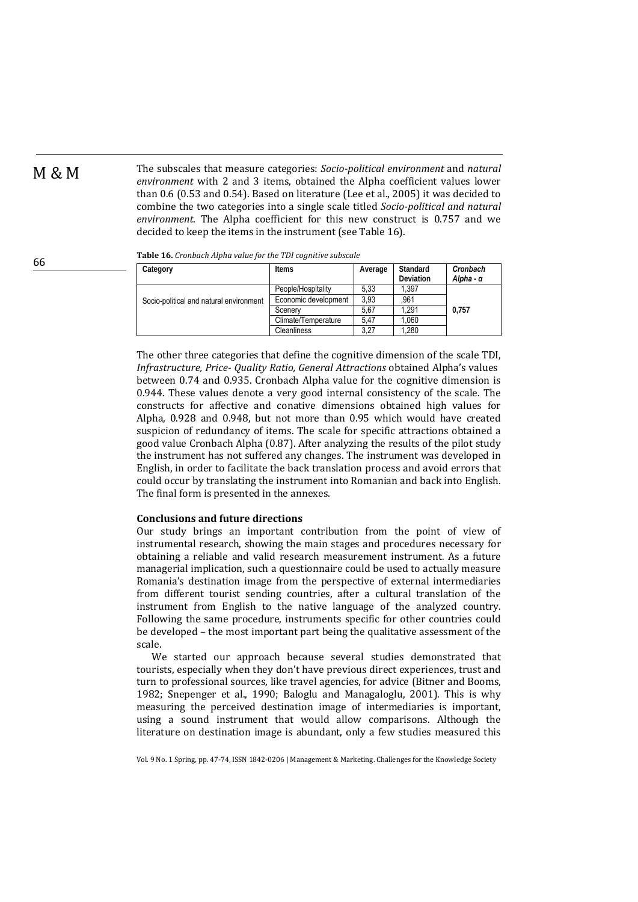**M** & M The subscales that measure categories: *Socio-political environment* and *natural environment* with 2 and 3 items, obtained the Alpha coefficient values lower than 0.6 (0.53 and 0.54). Based on literature (Lee et al., 2005) it was decided to combine the two categories into a single scale titled *Socio-political and natural environment*. The Alpha coefficient for this new construct is 0.757 and we decided to keep the items in the instrument (see Table 16).

| Category                                | <b>Items</b>         | Average | Standard<br>Deviation | Cronbach<br>Alpha - α |
|-----------------------------------------|----------------------|---------|-----------------------|-----------------------|
|                                         | People/Hospitality   | 5.33    | 1.397                 |                       |
| Socio-political and natural environment | Economic development | 3.93    | 961                   |                       |
|                                         | Scenery              | 5,67    | 1.291                 | 0.757                 |
|                                         | Climate/Temperature  | 5.47    | 1.060                 |                       |
|                                         | Cleanliness          | 3,27    | 1.280                 |                       |

**Table 16.** *Cronbach Alpha value for the TDI cognitive subscale*

The other three categories that define the cognitive dimension of the scale TDI, *Infrastructure, Price‐ Quality Ratio, General Attractions* obtained Alpha's values between 0.74 and 0.935. Cronbach Alpha value for the cognitive dimension is  $0.944$ . These values denote a very good internal consistency of the scale. The constructs for affective and conative dimensions obtained high values for Alpha, 0.928 and 0.948, but not more than 0.95 which would have created suspicion of redundancy of items. The scale for specific attractions obtained a good value Cronbach Alpha  $(0.87)$ . After analyzing the results of the pilot study the instrument has not suffered any changes. The instrument was developed in English, in order to facilitate the back translation process and avoid errors that could occur by translating the instrument into Romanian and back into English. The final form is presented in the annexes.

### **Conclusions and future directions**

Our study brings an important contribution from the point of view of instrumental research, showing the main stages and procedures necessary for obtaining a reliable and valid research measurement instrument. As a future managerial implication, such a questionnaire could be used to actually measure Romania's destination image from the perspective of external intermediaries from different tourist sending countries, after a cultural translation of the instrument from English to the native language of the analyzed country. Following the same procedure, instruments specific for other countries could be developed – the most important part being the qualitative assessment of the scale. 

We started our approach because several studies demonstrated that tourists, especially when they don't have previous direct experiences, trust and turn to professional sources, like travel agencies, for advice (Bitner and Booms, 1982; Snepenger et al., 1990; Baloglu and Managaloglu, 2001). This is why measuring the perceived destination image of intermediaries is important, using a sound instrument that would allow comparisons. Although the literature on destination image is abundant, only a few studies measured this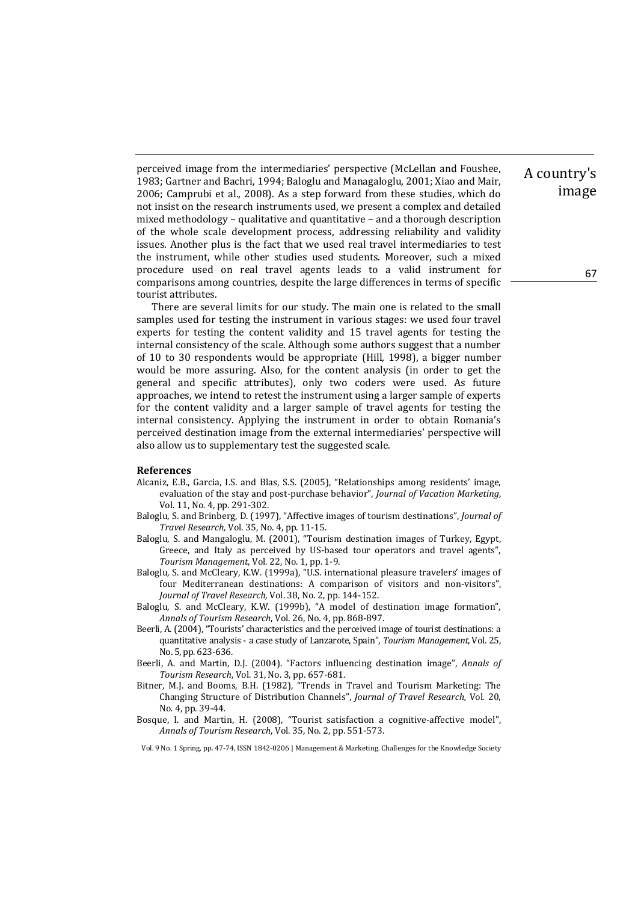perceived image from the intermediaries' perspective (McLellan and Foushee, 1983; Gartner and Bachri, 1994; Baloglu and Managaloglu, 2001; Xiao and Mair, 2006; Camprubi et al., 2008). As a step forward from these studies, which do not insist on the research instruments used, we present a complex and detailed mixed methodology – qualitative and quantitative – and a thorough description of the whole scale development process, addressing reliability and validity issues. Another plus is the fact that we used real travel intermediaries to test the instrument, while other studies used students. Moreover, such a mixed procedure used on real travel agents leads to a valid instrument for comparisons among countries, despite the large differences in terms of specific tourist attributes.

There are several limits for our study. The main one is related to the small samples used for testing the instrument in various stages: we used four travel experts for testing the content validity and 15 travel agents for testing the internal consistency of the scale. Although some authors suggest that a number of  $10$  to  $30$  respondents would be appropriate (Hill, 1998), a bigger number would be more assuring. Also, for the content analysis (in order to get the general and specific attributes), only two coders were used. As future approaches, we intend to retest the instrument using a larger sample of experts for the content validity and a larger sample of travel agents for testing the internal consistency. Applying the instrument in order to obtain Romania's perceived destination image from the external intermediaries' perspective will also allow us to supplementary test the suggested scale.

### **References**

- Alcaniz, E.B., Garcia, I.S. and Blas, S.S. (2005), "Relationships among residents' image, evaluation of the stay and post‐purchase behavior", *Journal of Vacation Marketing*, Vol. 11, No. 4, pp. 291-302.
- Baloglu, S. and Brinberg, D. (1997), "Affective images of tourism destinations", *Journal of Travel Research,* Vol. 35, No. 4, pp. 11‐15.
- Baloglu, S. and Mangaloglu, M. (2001), "Tourism destination images of Turkey, Egypt, Greece, and Italy as perceived by US-based tour operators and travel agents", *Tourism Management*, Vol. 22, No. 1, pp. 1-9.
- Baloglu, S. and McCleary, K.W. (1999a), "U.S. international pleasure travelers' images of four Mediterranean destinations: A comparison of visitors and non-visitors", *Journal of Travel Research,* Vol. 38, No. 2, pp. 144‐152.
- Baloglu, S. and McCleary, K.W. (1999b), "A model of destination image formation", *Annals of Tourism Research*, Vol. 26, No. 4, pp. 868‐897.
- Beerli, A. (2004), "Tourists' characteristics and the perceived image of tourist destinations: a quantitative analysis - a case study of Lanzarote, Spain", *Tourism Management*, Vol. 25, No. 5, pp. 623-636.
- Beerli, A. and Martin, D.J. (2004). "Factors influencing destination image", *Annals of Tourism Research, Vol.* 31, No. 3, pp. 657-681.
- Bitner, M.J. and Booms, B.H. (1982), "Trends in Travel and Tourism Marketing: The Changing Structure of Distribution Channels", *Journal of Travel Research,* Vol*.* 20, No. 4, pp. 39-44.
- Bosque, I. and Martin, H. (2008), "Tourist satisfaction a cognitive-affective model", *Annals of Tourism Research*, Vol. 35, No. 2, pp. 551‐573.

Vol. 9 No. 1 Spring, pp. 47-74, ISSN 1842-0206 | Management & Marketing. Challenges for the Knowledge Society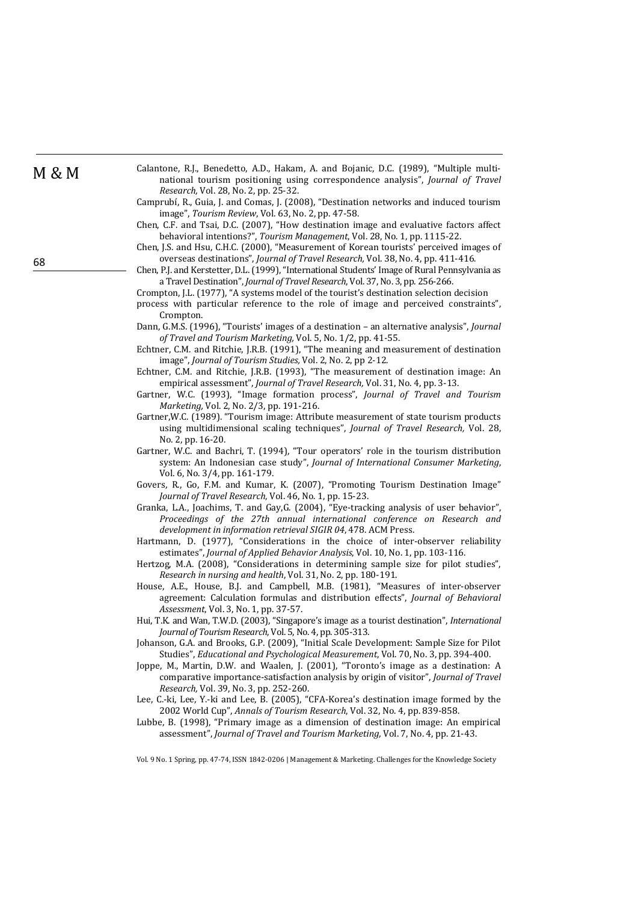- M & M Calantone, R.J., Benedetto, A.D., Hakam, A. and Bojanic, D.C. (1989), "Multiple multinational tourism positioning using correspondence analysis", *Journal of Travel Research, Vol.* 28, No. 2, pp. 25-32.
	- Camprubí, R., Guia, J. and Comas, J. (2008), "Destination networks and induced tourism image", *Tourism Review*, Vol. 63, No. 2, pp. 47-58.
	- Chen, C.F. and Tsai, D.C. (2007), "How destination image and evaluative factors affect behavioral intentions?", *Tourism Management*, Vol. 28, No. 1, pp. 1115-22.

Chen, J.S. and Hsu, C.H.C. (2000), "Measurement of Korean tourists' perceived images of overseas destinations", *Journal of Travel Research*, Vol. 38, No. 4, pp. 411-416.

Chen, P.J. and Kerstetter, D.L. (1999), "International Students' Image of Rural Pennsylvania as a Travel Destination", *Journal of Travel Research*, Vol. 37, No. 3, pp. 256-266.

Crompton, J.L. (1977), "A systems model of the tourist's destination selection decision

- process with particular reference to the role of image and perceived constraints", Crompton.
- Dann, G.M.S. (1996), "Tourists' images of a destination an alternative analysis", *Journal of Travel and Tourism Marketing,* Vol. 5, No. 1/2, pp. 41‐55.
- Echtner, C.M. and Ritchie, J.R.B. (1991), "The meaning and measurement of destination image", *Journal of Tourism Studies*, Vol. 2, No. 2, pp 2-12.
- Echtner, C.M. and Ritchie, J.R.B. (1993), "The measurement of destination image: An empirical assessment", *Journal of Travel Research*, Vol. 31, No. 4, pp. 3-13.
- Gartner, W.C. (1993), "Image formation process", *Journal of Travel and Tourism Marketing, Vol. 2, No. 2/3, pp. 191-216.*
- Gartner, W.C. (1989). "Tourism image: Attribute measurement of state tourism products using multidimensional scaling techniques", *Journal of Travel Research*, Vol. 28, No. 2, pp. 16-20.
- Gartner, W.C. and Bachri, T. (1994), "Tour operators' role in the tourism distribution system: An Indonesian case study", *Journal of International Consumer Marketing*, Vol. 6, No. 3/4, pp. 161-179.
- Govers, R., Go, F.M. and Kumar, K. (2007), "Promoting Tourism Destination Image" *Journal of Travel Research*, Vol. 46, No. 1, pp. 15-23.
- Granka, L.A., Joachims, T. and Gay, G. (2004), "Eye-tracking analysis of user behavior", *Proceedings of the 27th annual international conference on Research and development in information retrieval SIGIR 04*, 478. ACM Press.
- Hartmann, D. (1977), "Considerations in the choice of inter-observer reliability estimates", *Journal of Applied Behavior Analysis*, Vol. 10, No. 1, pp. 103-116.
- Hertzog, M.A. (2008), "Considerations in determining sample size for pilot studies", *Research in nursing and health*, Vol. 31, No. 2, pp. 180‐191.
- House, A.E., House, B.J. and Campbell, M.B. (1981), "Measures of inter-observer agreement: Calculation formulas and distribution effects", *Journal of Behavioral Assessment*, *Vol.* 3, *No.* 1, pp. 37-57.
- Hui, T.K. and Wan, T.W.D. (2003), "Singapore's image as a tourist destination", *International Journal of Tourism Research*, Vol. 5, No. 4, pp. 305‐313.
- Johanson, G.A. and Brooks, G.P. (2009), "Initial Scale Development: Sample Size for Pilot Studies", *Educational and Psychological Measurement*, Vol. 70, No. 3, pp. 394-400.
- Joppe, M., Martin, D.W. and Waalen, J. (2001), "Toronto's image as a destination: A comparative importance-satisfaction analysis by origin of visitor", *Journal of Travel Research, Vol.* 39, No. 3, pp. 252-260.
- Lee, C.-ki, Lee, Y.-ki and Lee, B. (2005), "CFA-Korea's destination image formed by the 2002 World Cup", Annals of Tourism Research, Vol. 32, No. 4, pp. 839-858.
- Lubbe, B. (1998), "Primary image as a dimension of destination image: An empirical assessment", *Journal of Travel and Tourism Marketing,* Vol. 7, No. 4, pp. 21‐43.

Vol. 9 No. 1 Spring, pp. 47-74, ISSN 1842-0206 | Management & Marketing. Challenges for the Knowledge Society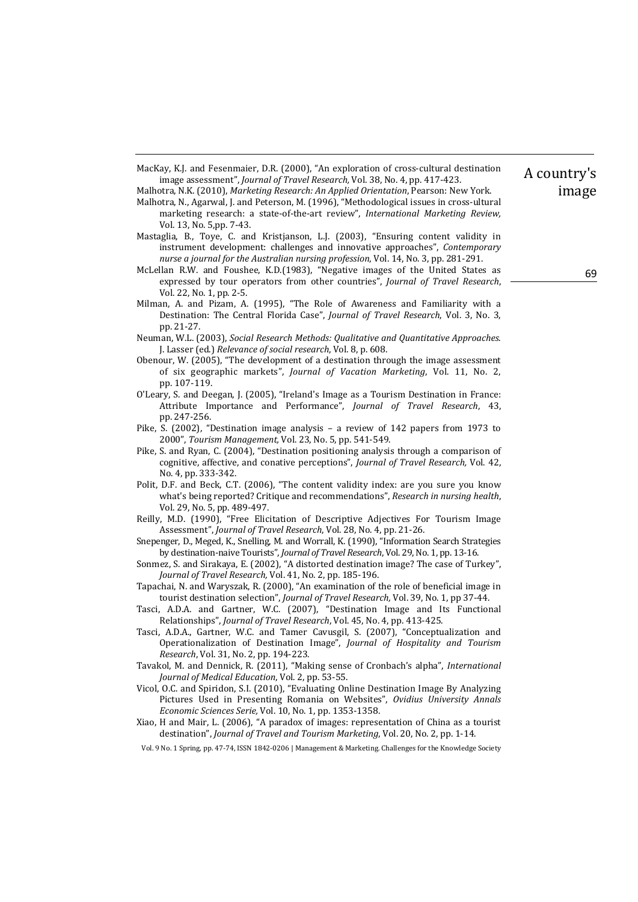MacKay, K.J. and Fesenmaier, D.R. (2000), "An exploration of cross-cultural destination image assessment", *Journal of Travel Research*, Vol. 38, No. 4, pp. 417-423.

Malhotra, N.K. (2010), *Marketing Research: An Applied Orientation*, Pearson: New York.

- Malhotra, N., Agarwal, J. and Peterson, M. (1996), "Methodological issues in cross-ultural marketing research: a state-of-the-art review", *International Marketing Review*, Vol. 13, No. 5,pp. 7-43.
- Mastaglia, B., Toye, C. and Kristjanson, L.J. (2003), "Ensuring content validity in instrument development: challenges and innovative approaches", *Contemporary nurse a journal for the Australian nursing profession*, Vol. 14, No. 3, pp. 281‐291.
- McLellan R.W. and Foushee, K.D.(1983), "Negative images of the United States as expressed by tour operators from other countries", *Journal of Travel Research*, Vol. 22, No. 1, pp. 2-5.
- Milman, A. and Pizam, A. (1995), "The Role of Awareness and Familiarity with a Destination: The Central Florida Case", *Journal of Travel Research*, Vol. 3, No. 3, pp. 21‐27.
- Neuman, W.L. (2003), *Social Research Methods: Qualitative and Quantitative Approaches*. J. Lasser (ed.) *Relevance of social research*, Vol. 8, p. 608.
- Obenour, W. (2005), "The development of a destination through the image assessment of six geographic markets", *Journal of Vacation Marketing*, Vol. 11, No. 2, pp. 107-119.
- O'Leary, S. and Deegan, J. (2005), "Ireland's Image as a Tourism Destination in France: Attribute Importance and Performance", *Journal of Travel Research*, 43, pp. 247‐256.
- Pike, S. (2002), "Destination image analysis a review of 142 papers from 1973 to 2000", *Tourism Management*, Vol. 23, No. 5, pp. 541-549.
- Pike, S. and Ryan, C. (2004), "Destination positioning analysis through a comparison of cognitive, affective, and conative perceptions", *Journal of Travel Research,* Vol. 42, No. 4, pp. 333-342.
- Polit, D.F. and Beck, C.T. (2006), "The content validity index: are you sure you know what's being reported? Critique and recommendations", *Research in nursing health*, Vol. 29, No. 5, pp. 489-497.
- Reilly, M.D. (1990), "Free Elicitation of Descriptive Adjectives For Tourism Image Assessment", *Journal of Travel Research*, Vol. 28, No. 4, pp. 21-26.
- Snepenger, D., Meged, K., Snelling, M. and Worrall, K. (1990), "Information Search Strategies by destination-naive Tourists", *Journal of Travel Research*, Vol. 29, No. 1, pp. 13-16.
- Sonmez, S. and Sirakaya, E. (2002), "A distorted destination image? The case of Turkey", *Journal of Travel Research,* Vol. 41, No. 2, pp. 185‐196.
- Tapachai, N. and Waryszak, R. (2000), "An examination of the role of beneficial image in tourist destination selection", *Journal of Travel Research*, Vol. 39, No. 1, pp 37-44.
- Tasci, A.D.A. and Gartner, W.C. (2007), "Destination Image and Its Functional Relationships", *Journal of Travel Research*, Vol. 45, No. 4, pp. 413-425.
- Tasci, A.D.A., Gartner, W.C. and Tamer Cavusgil, S. (2007), "Conceptualization and Operationalization of Destination Image", *Journal of Hospitality and Tourism Research*, Vol. 31, No. 2, pp. 194-223.
- Tavakol, M. and Dennick, R. (2011), "Making sense of Cronbach's alpha", *International Journal of Medical Education*, Vol. 2, pp. 53‐55.
- Vicol, O.C. and Spiridon, S.I. (2010), "Evaluating Online Destination Image By Analyzing Pictures Used in Presenting Romania on Websites", *Ovidius University Annals Economic Sciences Serie,* Vol. 10, No. 1, pp. 1353‐1358.
- Xiao, H and Mair, L. (2006), "A paradox of images: representation of China as a tourist destination", *Journal of Travel and Tourism Marketing*, Vol. 20, No. 2, pp. 1-14.
- Vol. 9 No. 1 Spring, pp. 47-74, ISSN 1842-0206 | Management & Marketing. Challenges for the Knowledge Society

A country's image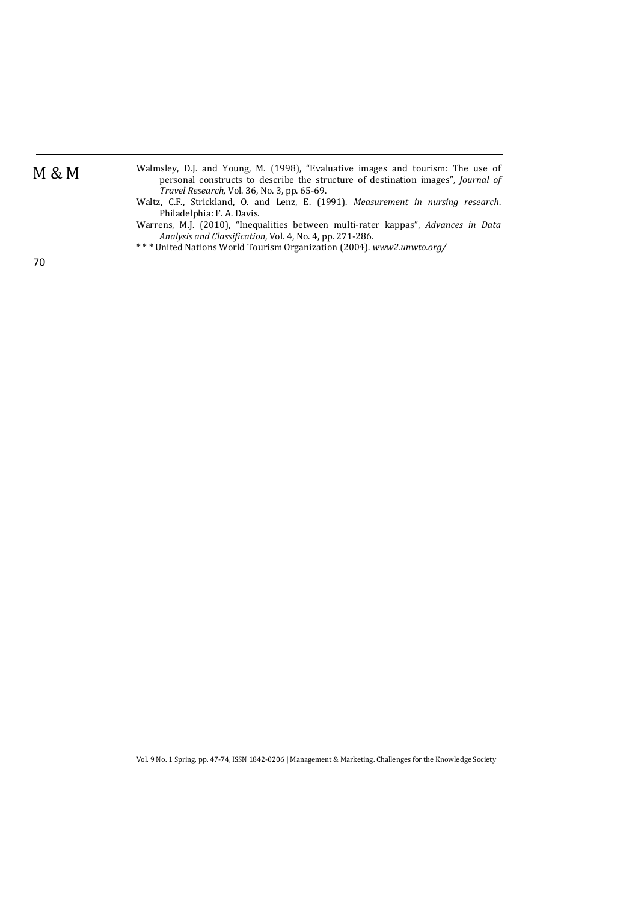| M | υ<br>v | М |
|---|--------|---|
|---|--------|---|

- Walmsley, D.J. and Young, M. (1998), "Evaluative images and tourism: The use of personal constructs to describe the structure of destination images", *Journal of Travel Research,* Vol. 36, No. 3, pp. 65‐69.
- Waltz, C.F., Strickland, O. and Lenz, E. (1991). *Measurement in nursing research*. Philadelphia: F. A. Davis.
- Warrens, M.J. (2010), "Inequalities between multi-rater kappas", Advances in Data *Analysis and Classification*, Vol. 4, No. 4, pp. 271‐286.
- \* \* \* United Nations World Tourism Organization (2004). *www2.unwto.org/*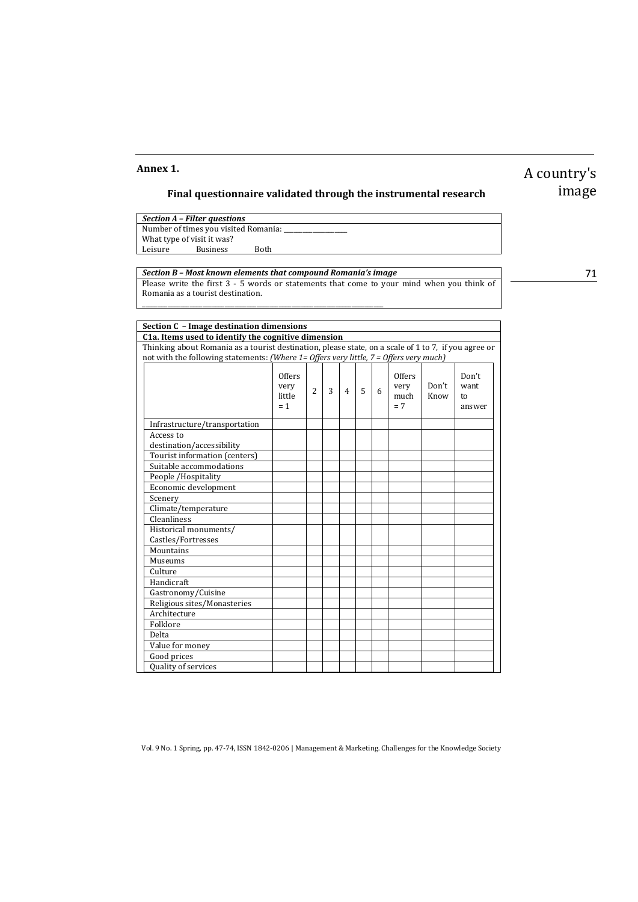### **Annex 1.**

## **Final questionnaire validated through the instrumental research**

|                                      | Section A - Filter questions |      |  |  |  |
|--------------------------------------|------------------------------|------|--|--|--|
| Number of times you visited Romania: |                              |      |  |  |  |
|                                      | What type of visit it was?   |      |  |  |  |
| Leisure                              | <b>Business</b>              | Both |  |  |  |
|                                      |                              |      |  |  |  |

\_\_\_\_\_\_\_\_\_\_\_\_\_\_\_\_\_\_\_\_\_\_\_\_\_\_\_\_\_\_\_\_\_\_\_\_\_\_\_\_\_\_\_\_\_\_\_\_\_\_\_\_\_\_\_\_\_\_\_\_\_\_\_\_\_\_\_\_\_\_\_\_\_\_\_\_ 

*Section B – Most known elements that compound Romania's image* Please write the first  $3 - 5$  words or statements that come to your mind when you think of Romania as a tourist destination.

image

A country's 

**Section C – Image destination dimensions C1a. Items used to identify the cognitive dimension** Thinking about Romania as a tourist destination, please state, on a scale of 1 to 7, if you agree or not with the following statements: *(Where 1= Offers very little, 7 = Offers very much)* **Offers** very little  $= 1$  $2 \mid 3 \mid 4 \mid 5 \mid 6$ **Offers** very much  $= 7$ Don't Know Don't want to answer Infrastructure/transportation Access to destination/accessibility Tourist information (centers) Suitable accommodations People / Hospitality Economic development Scenery **Property Scenery Property Property** and the property of the set of  $\mathbb{R}^n$ Climate/temperature Cleanliness Historical monuments/ Castles/Fortresses Mountains Museums **Culture** Handicraft Gastronomy/Cuisine Religious sites/Monasteries Architecture Folklore Delta (b. 1918)<br>Delta (b. 1918) Value for money Good prices Quality of services

71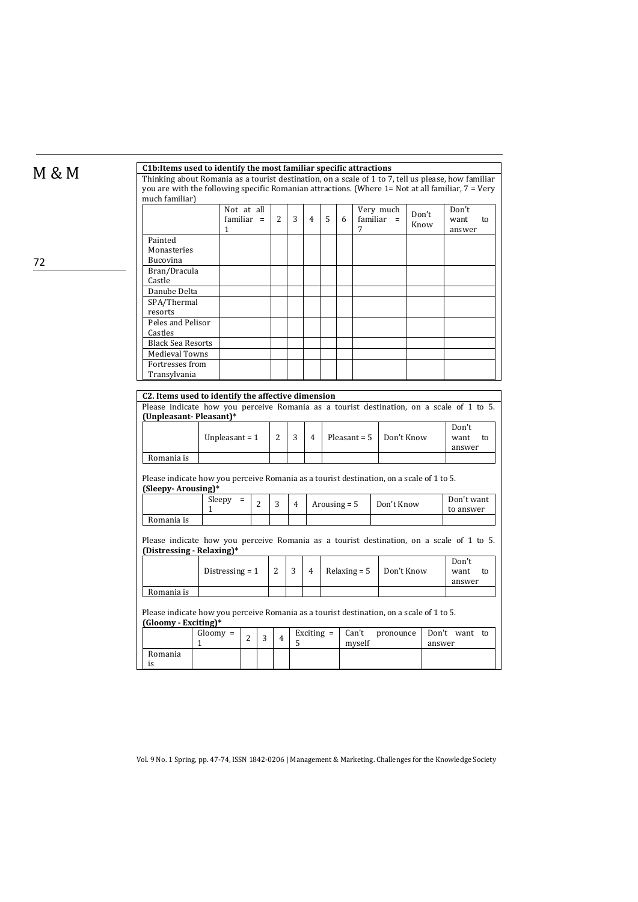| C1b: Items used to identify the most familiar specific attractions<br>Thinking about Romania as a tourist destination, on a scale of 1 to 7, tell us please, how familiar |                   |                                                                                            |                |                |   |                |                              |                |   |                           |               |  |                               |
|---------------------------------------------------------------------------------------------------------------------------------------------------------------------------|-------------------|--------------------------------------------------------------------------------------------|----------------|----------------|---|----------------|------------------------------|----------------|---|---------------------------|---------------|--|-------------------------------|
| you are with the following specific Romanian attractions. (Where $1 = Not$ at all familiar, $7 = Very$<br>much familiar)                                                  |                   |                                                                                            |                |                |   |                |                              |                |   |                           |               |  |                               |
|                                                                                                                                                                           | 1                 | Not at all<br>$familiar =$                                                                 |                | $\overline{2}$ | 3 | $\overline{4}$ | 5                            | 6              | 7 | Very much<br>$familiar =$ | Don't<br>Know |  | Don't<br>want<br>to<br>answer |
| Painted<br>Monasteries<br>Bucovina                                                                                                                                        |                   |                                                                                            |                |                |   |                |                              |                |   |                           |               |  |                               |
| Bran/Dracula<br>Castle                                                                                                                                                    |                   |                                                                                            |                |                |   |                |                              |                |   |                           |               |  |                               |
| Danube Delta<br>SPA/Thermal                                                                                                                                               |                   |                                                                                            |                |                |   |                |                              |                |   |                           |               |  |                               |
| resorts<br>Peles and Pelisor<br>Castles                                                                                                                                   |                   |                                                                                            |                |                |   |                |                              |                |   |                           |               |  |                               |
| <b>Black Sea Resorts</b><br>Medieval Towns                                                                                                                                |                   |                                                                                            |                |                |   |                |                              |                |   |                           |               |  |                               |
| Fortresses from<br>Transylvania                                                                                                                                           |                   |                                                                                            |                |                |   |                |                              |                |   |                           |               |  |                               |
| Romania is                                                                                                                                                                |                   | Unpleasant = $1$                                                                           |                | $\overline{2}$ | 3 | $\overline{4}$ | Pleasant = $5$               |                |   | Don't Know                |               |  | Don't<br>want<br>to<br>answer |
| Please indicate how you perceive Romania as a tourist destination, on a scale of 1 to 5.<br>(Sleepy-Arousing)*                                                            |                   |                                                                                            |                |                |   |                |                              |                |   |                           |               |  |                               |
|                                                                                                                                                                           | Sleepy =<br>1     |                                                                                            | $\overline{2}$ | 3              | 4 |                | Arousing $=$ 5<br>Don't Know |                |   | Don't want<br>to answer   |               |  |                               |
| Romania is                                                                                                                                                                |                   |                                                                                            |                |                |   |                |                              |                |   |                           |               |  |                               |
| Please indicate how you perceive Romania as a tourist destination, on a scale of 1 to 5.<br>(Distressing - Relaxing)*                                                     |                   |                                                                                            |                |                |   |                |                              |                |   |                           |               |  |                               |
|                                                                                                                                                                           | Distressing $=$ 1 |                                                                                            |                | 2              | 3 | $\overline{4}$ |                              | Relaxing $= 5$ |   | Don't Know                |               |  | Don't<br>want<br>to<br>answer |
| Romania is                                                                                                                                                                |                   |                                                                                            |                |                |   |                |                              |                |   |                           |               |  |                               |
| Please indicate how you perceive Romania as a tourist destination, on a scale of 1 to 5.<br>(Gloomy - Exciting)*                                                          |                   |                                                                                            |                |                |   |                |                              |                |   |                           |               |  |                               |
|                                                                                                                                                                           | $Gloomy =$<br>1   | Exciting $=$<br>Can't<br>pronounce<br>$\overline{2}$<br>3<br>$\overline{4}$<br>5<br>myself |                |                |   | answer         | Don't want to                |                |   |                           |               |  |                               |
| Romania                                                                                                                                                                   |                   |                                                                                            |                |                |   |                |                              |                |   |                           |               |  |                               |

M & M **C1b:Items used to identify the most familiar specific attractions**

Vol. 9 No. 1 Spring, pp. 47-74, ISSN 1842-0206 | Management & Marketing. Challenges for the Knowledge Society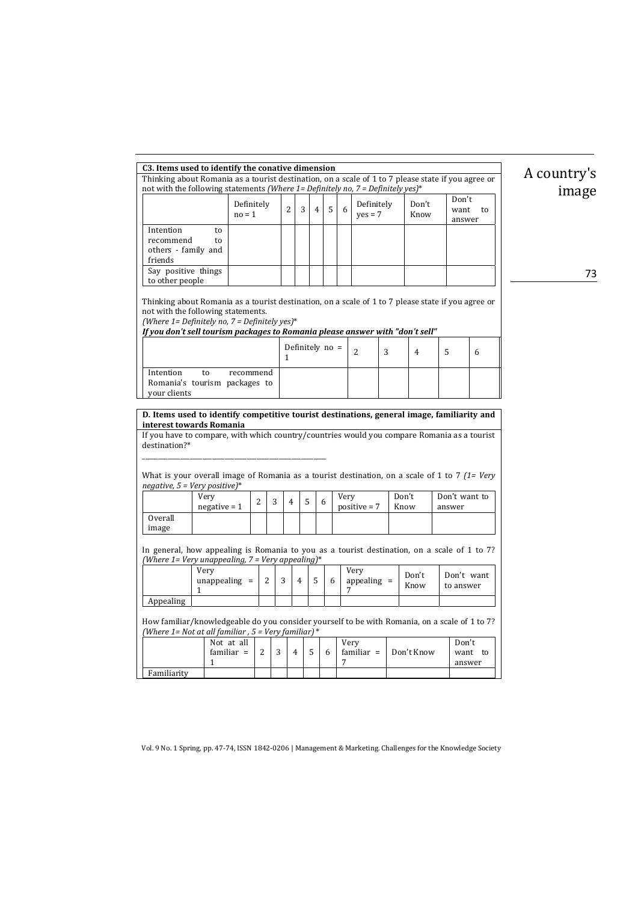| C3. Items used to identify the conative dimension                                                                                                                                                                                                                                                                                                                                       |               |                |                |                |                 |      |                         |   |                |                         |         |  |
|-----------------------------------------------------------------------------------------------------------------------------------------------------------------------------------------------------------------------------------------------------------------------------------------------------------------------------------------------------------------------------------------|---------------|----------------|----------------|----------------|-----------------|------|-------------------------|---|----------------|-------------------------|---------|--|
| Thinking about Romania as a tourist destination, on a scale of 1 to 7 please state if you agree or                                                                                                                                                                                                                                                                                      |               |                |                |                |                 |      |                         |   | A countr       |                         |         |  |
| not with the following statements (Where 1= Definitely no, 7 = Definitely yes)*                                                                                                                                                                                                                                                                                                         |               |                |                |                |                 |      |                         |   | ima            |                         |         |  |
| $no = 1$                                                                                                                                                                                                                                                                                                                                                                                | Definitely    | $\overline{2}$ | 3              | $\overline{4}$ | 5               | 6    | Definitely<br>$yes = 7$ |   | Don't<br>Know  | Don't<br>want<br>answer | to      |  |
| Intention<br>to<br>recommend<br>to<br>others - family and<br>friends<br>Say positive things                                                                                                                                                                                                                                                                                             |               |                |                |                |                 |      |                         |   |                |                         |         |  |
| to other people                                                                                                                                                                                                                                                                                                                                                                         |               |                |                |                |                 |      |                         |   |                |                         |         |  |
| Thinking about Romania as a tourist destination, on a scale of 1 to 7 please state if you agree or<br>not with the following statements.<br>(Where $1 =$ Definitely no, $7 =$ Definitely yes)*<br>If you don't sell tourism packages to Romania please answer with "don't sell"                                                                                                         |               |                |                |                |                 |      |                         |   |                |                         |         |  |
|                                                                                                                                                                                                                                                                                                                                                                                         |               | $\mathbf{1}$   |                |                | Definitely no = |      | 2                       | 3 | $\overline{4}$ | 5                       | 6       |  |
| Intention<br>to<br>Romania's tourism packages to<br>your clients                                                                                                                                                                                                                                                                                                                        | recommend     |                |                |                |                 |      |                         |   |                |                         |         |  |
| D. Items used to identify competitive tourist destinations, general image, familiarity and<br>interest towards Romania<br>If you have to compare, with which country/countries would you compare Romania as a tourist<br>destination?*<br>What is your overall image of Romania as a tourist destination, on a scale of 1 to 7 $(1=Very)$<br>$negative, 5 = Very positive$ <sup>*</sup> |               |                |                |                |                 |      |                         |   |                |                         |         |  |
| Very                                                                                                                                                                                                                                                                                                                                                                                    | 2<br>3        | $\overline{4}$ | 5              |                | 6               | Very |                         |   | Don't          | Don't want to           |         |  |
| $negative = 1$<br><b>Overall</b><br>image                                                                                                                                                                                                                                                                                                                                               |               |                |                |                |                 |      | positive $= 7$          |   | Know           | answer                  |         |  |
| In general, how appealing is Romania to you as a tourist destination, on a scale of 1 to 7?<br>(Where 1= Very unappealing, 7 = Very appealing)*<br>Very<br>Very                                                                                                                                                                                                                         |               |                |                |                |                 |      |                         |   |                |                         |         |  |
| $unappealing =$<br>1                                                                                                                                                                                                                                                                                                                                                                    | 2             | 3              | $\overline{4}$ | 5              | 6               | 7    | appealing $=$           |   | Don't<br>Know  | Don't want<br>to answer |         |  |
| Appealing                                                                                                                                                                                                                                                                                                                                                                               |               |                |                |                |                 |      |                         |   |                |                         |         |  |
| How familiar/knowledgeable do you consider yourself to be with Romania, on a scale of 1 to 7?<br>(Where 1= Not at all familiar , 5 = Very familiar) *                                                                                                                                                                                                                                   |               |                |                |                |                 |      |                         |   |                |                         |         |  |
| Not at all<br>familiar $=$<br>$\mathbf{1}$                                                                                                                                                                                                                                                                                                                                              | $\mathcal{L}$ | 3              | $\overline{4}$ | 5              | 6               | 7    | Very<br>familiar $=$    |   | Don't Know     | Don't<br>answer         | want to |  |
| Familiarity                                                                                                                                                                                                                                                                                                                                                                             |               |                |                |                |                 |      |                         |   |                |                         |         |  |

 $ry's$ age

73